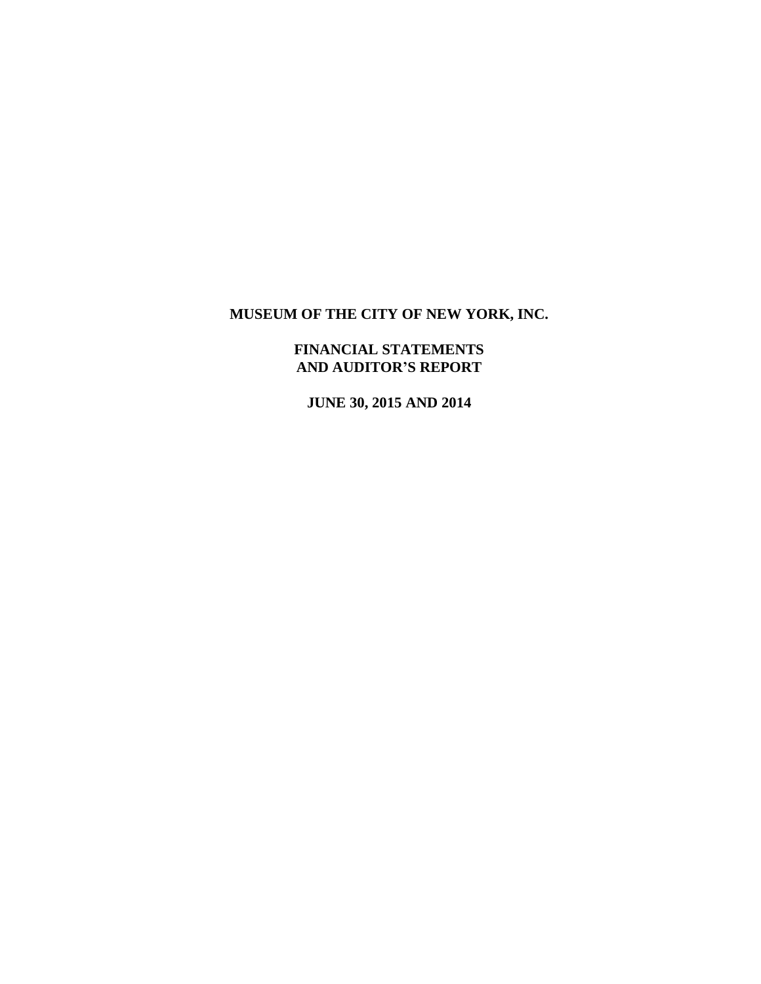# **FINANCIAL STATEMENTS AND AUDITOR'S REPORT**

**JUNE 30, 2015 AND 2014**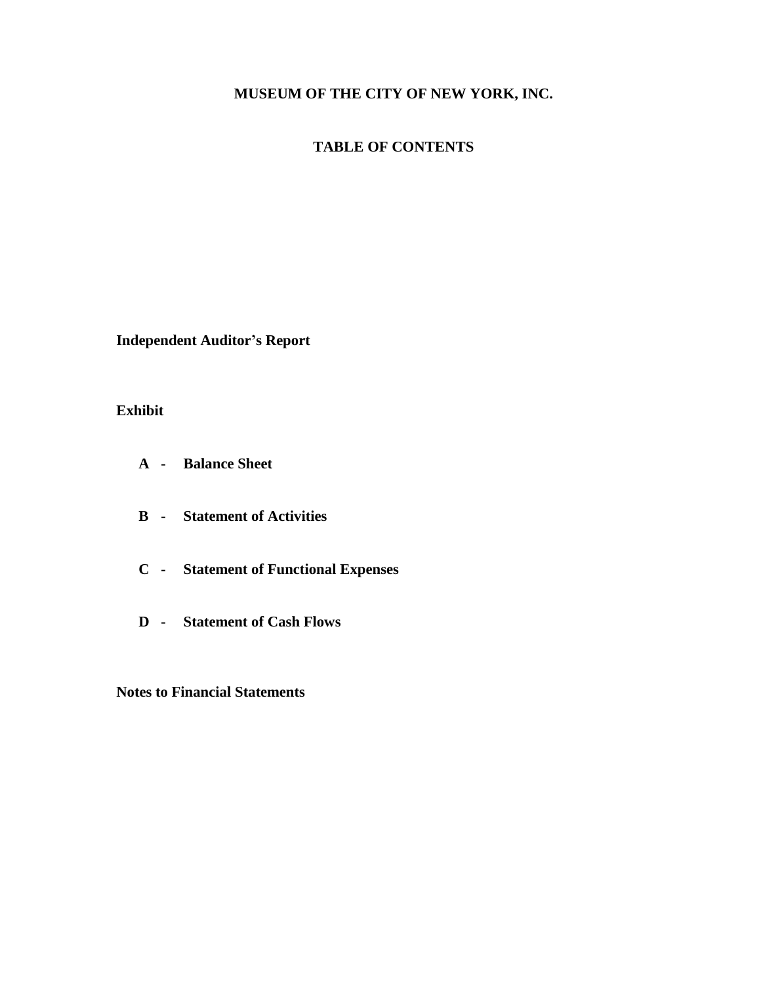# **TABLE OF CONTENTS**

**Independent Auditor's Report**

# **Exhibit**

- **A - Balance Sheet**
- **B - Statement of Activities**
- **C - Statement of Functional Expenses**
- **D - Statement of Cash Flows**

**Notes to Financial Statements**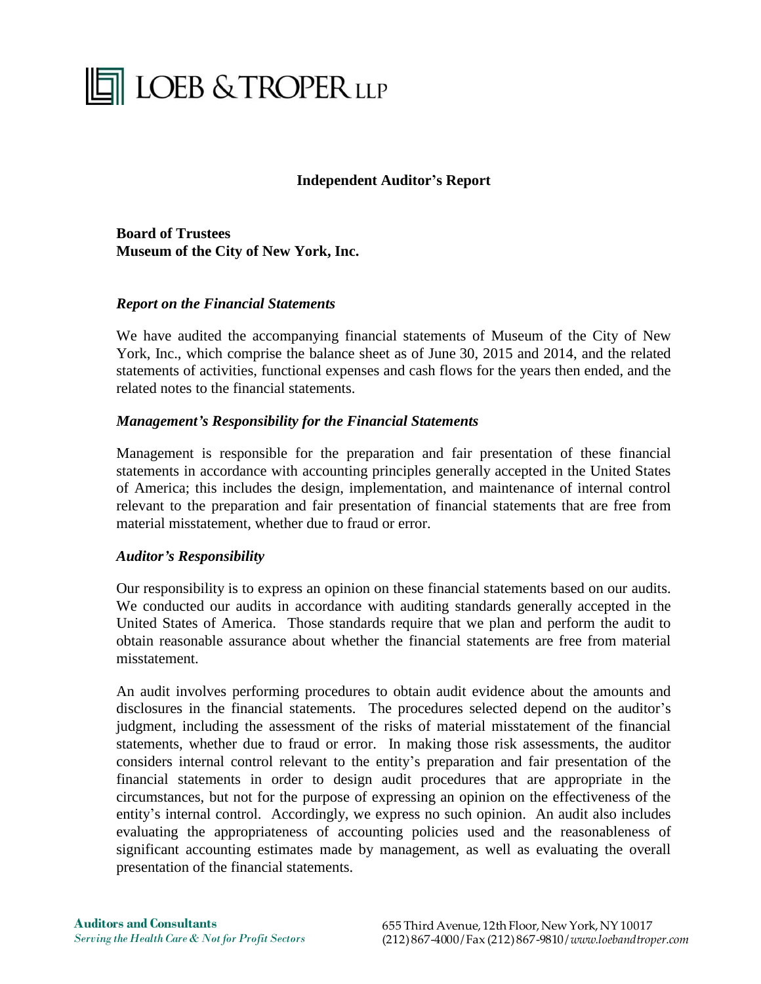# **THE LOEB & TROPER LLP**

# **Independent Auditor's Report**

**Board of Trustees Museum of the City of New York, Inc.**

# *Report on the Financial Statements*

We have audited the accompanying financial statements of Museum of the City of New York, Inc., which comprise the balance sheet as of June 30, 2015 and 2014, and the related statements of activities, functional expenses and cash flows for the years then ended, and the related notes to the financial statements.

# *Management's Responsibility for the Financial Statements*

Management is responsible for the preparation and fair presentation of these financial statements in accordance with accounting principles generally accepted in the United States of America; this includes the design, implementation, and maintenance of internal control relevant to the preparation and fair presentation of financial statements that are free from material misstatement, whether due to fraud or error.

# *Auditor's Responsibility*

Our responsibility is to express an opinion on these financial statements based on our audits. We conducted our audits in accordance with auditing standards generally accepted in the United States of America. Those standards require that we plan and perform the audit to obtain reasonable assurance about whether the financial statements are free from material misstatement.

An audit involves performing procedures to obtain audit evidence about the amounts and disclosures in the financial statements. The procedures selected depend on the auditor's judgment, including the assessment of the risks of material misstatement of the financial statements, whether due to fraud or error. In making those risk assessments, the auditor considers internal control relevant to the entity's preparation and fair presentation of the financial statements in order to design audit procedures that are appropriate in the circumstances, but not for the purpose of expressing an opinion on the effectiveness of the entity's internal control. Accordingly, we express no such opinion. An audit also includes evaluating the appropriateness of accounting policies used and the reasonableness of significant accounting estimates made by management, as well as evaluating the overall presentation of the financial statements.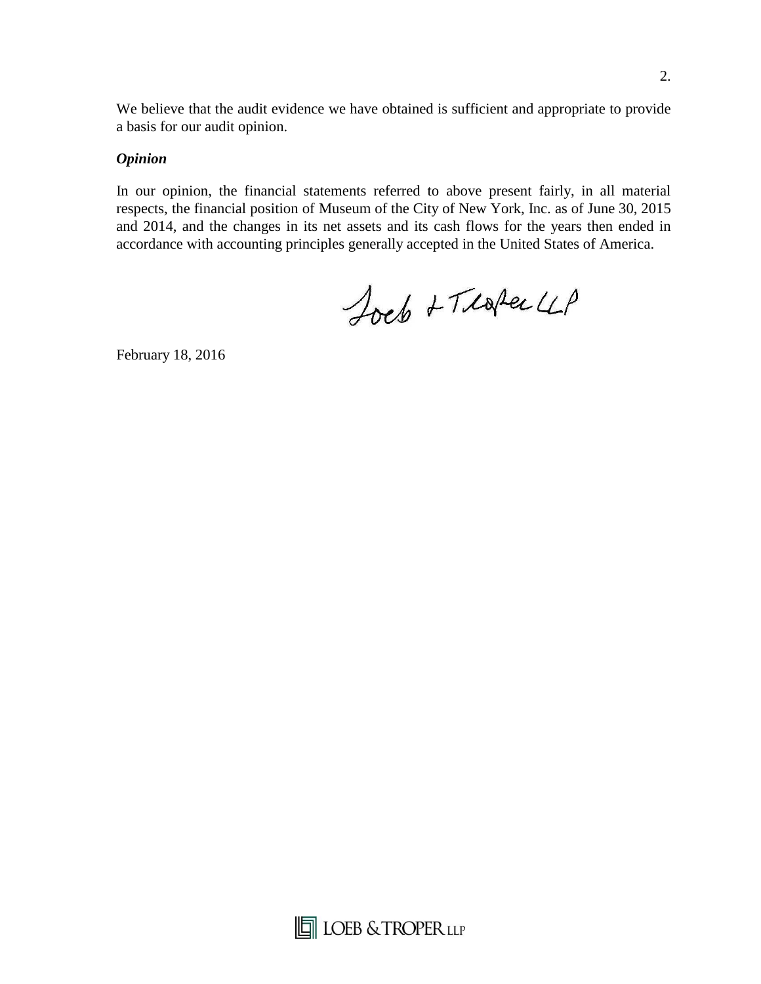We believe that the audit evidence we have obtained is sufficient and appropriate to provide a basis for our audit opinion.

# *Opinion*

In our opinion, the financial statements referred to above present fairly, in all material respects, the financial position of Museum of the City of New York, Inc. as of June 30, 2015 and 2014, and the changes in its net assets and its cash flows for the years then ended in accordance with accounting principles generally accepted in the United States of America.

Joeb + Texter 4P

February 18, 2016

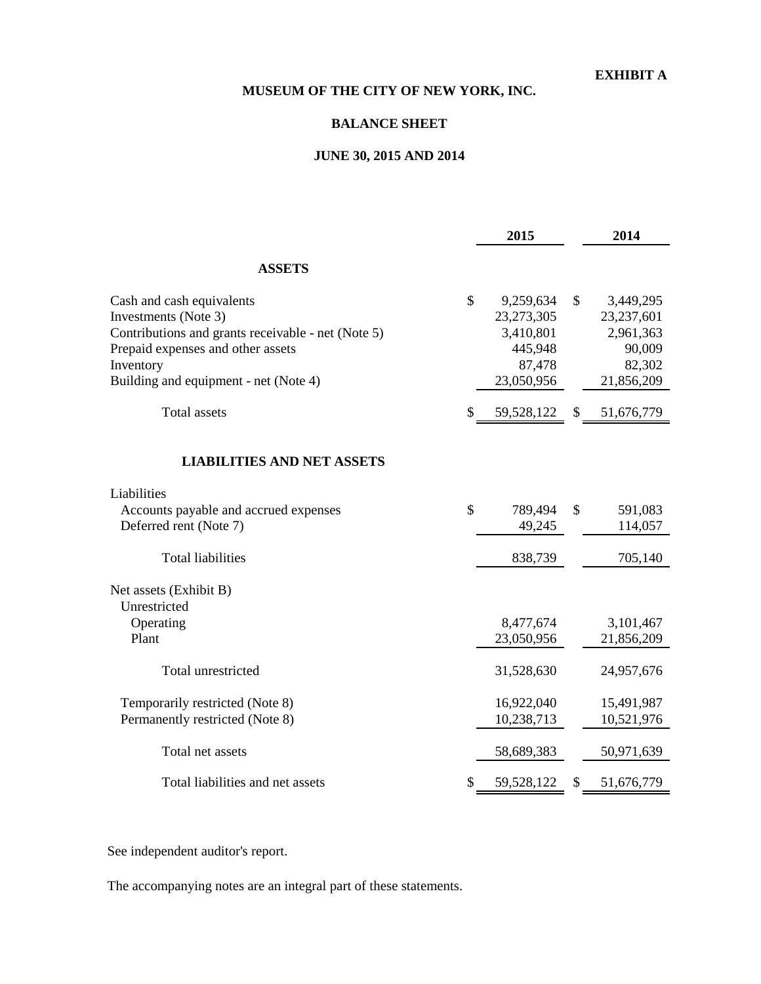# **EXHIBIT A**

# **MUSEUM OF THE CITY OF NEW YORK, INC.**

# **BALANCE SHEET**

# **JUNE 30, 2015 AND 2014**

|                                                                                                                                                                                                    | 2015                                                                            | 2014                                                                         |
|----------------------------------------------------------------------------------------------------------------------------------------------------------------------------------------------------|---------------------------------------------------------------------------------|------------------------------------------------------------------------------|
| <b>ASSETS</b>                                                                                                                                                                                      |                                                                                 |                                                                              |
| Cash and cash equivalents<br>Investments (Note 3)<br>Contributions and grants receivable - net (Note 5)<br>Prepaid expenses and other assets<br>Inventory<br>Building and equipment - net (Note 4) | \$<br>9,259,634<br>23, 273, 305<br>3,410,801<br>445,948<br>87,478<br>23,050,956 | \$<br>3,449,295<br>23,237,601<br>2,961,363<br>90,009<br>82,302<br>21,856,209 |
| <b>Total</b> assets                                                                                                                                                                                | \$<br>59,528,122                                                                | \$<br>51,676,779                                                             |
| <b>LIABILITIES AND NET ASSETS</b>                                                                                                                                                                  |                                                                                 |                                                                              |
| Liabilities<br>Accounts payable and accrued expenses<br>Deferred rent (Note 7)                                                                                                                     | \$<br>789,494<br>49,245                                                         | \$<br>591,083<br>114,057                                                     |
| <b>Total liabilities</b>                                                                                                                                                                           | 838,739                                                                         | 705,140                                                                      |
| Net assets (Exhibit B)<br>Unrestricted<br>Operating<br>Plant                                                                                                                                       | 8,477,674<br>23,050,956                                                         | 3,101,467<br>21,856,209                                                      |
| Total unrestricted                                                                                                                                                                                 | 31,528,630                                                                      | 24,957,676                                                                   |
| Temporarily restricted (Note 8)<br>Permanently restricted (Note 8)                                                                                                                                 | 16,922,040<br>10,238,713                                                        | 15,491,987<br>10,521,976                                                     |
| Total net assets                                                                                                                                                                                   | 58,689,383                                                                      | 50,971,639                                                                   |
| Total liabilities and net assets                                                                                                                                                                   | \$<br>59,528,122                                                                | \$<br>51,676,779                                                             |

See independent auditor's report.

The accompanying notes are an integral part of these statements.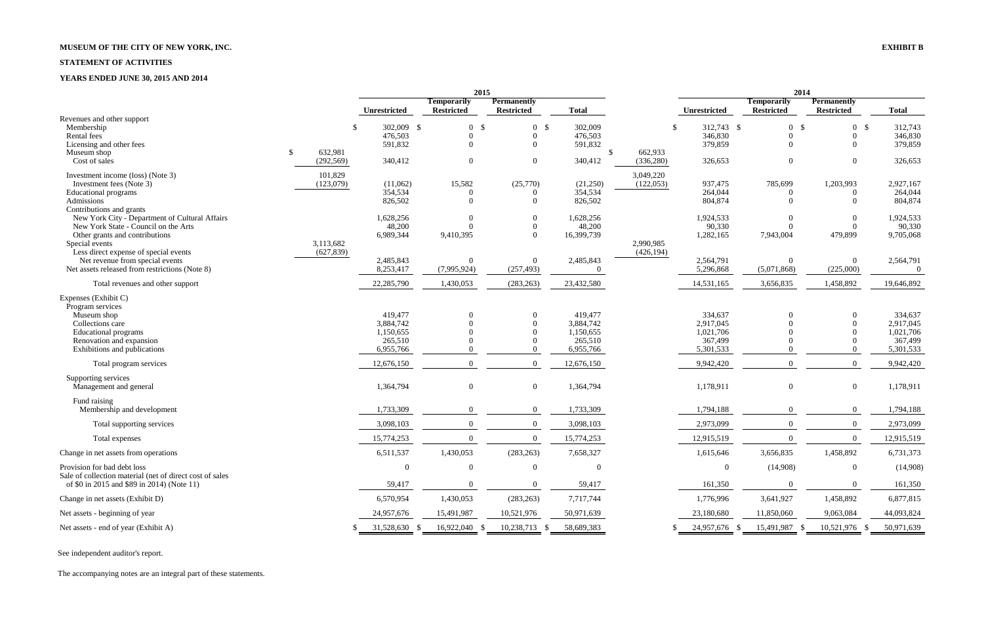# **MUSEUM OF THE CITY OF NEW YORK, INC. EXHIBIT B**

#### **STATEMENT OF ACTIVITIES**

# **YEARS ENDED JUNE 30, 2015 AND 2014**

|                                                                                                        |                                        | 2015                |                                         |                                         |                         | 2014                  |                    |                                         |                                         |                      |
|--------------------------------------------------------------------------------------------------------|----------------------------------------|---------------------|-----------------------------------------|-----------------------------------------|-------------------------|-----------------------|--------------------|-----------------------------------------|-----------------------------------------|----------------------|
|                                                                                                        |                                        | <b>Unrestricted</b> | <b>Temporarily</b><br><b>Restricted</b> | <b>Permanently</b><br><b>Restricted</b> | <b>Total</b>            |                       | Unrestricted       | <b>Temporarily</b><br><b>Restricted</b> | <b>Permanently</b><br><b>Restricted</b> | <b>Total</b>         |
| Revenues and other support                                                                             |                                        |                     |                                         |                                         |                         |                       |                    |                                         |                                         |                      |
| Membership                                                                                             | <sup>S</sup>                           | 302,009 \$          | $\mathbf{0}$                            | -\$<br>0 <sup>5</sup>                   | 302,009                 | -\$                   | 312,743 \$         | 0 <sup>5</sup>                          | $\overline{0}$<br>- \$                  | 312,743              |
| Rental fees                                                                                            |                                        | 476,503             | $\mathbf{0}$                            | $\overline{0}$                          | 476,503                 |                       | 346,830            | $\overline{0}$                          | $\overline{0}$                          | 346,830              |
| Licensing and other fees                                                                               |                                        | 591,832             | $\Omega$                                | $\theta$                                | 591,832                 |                       | 379,859            | $\Omega$                                | $\Omega$                                | 379,859              |
| Museum shop<br>Cost of sales                                                                           | 632,981<br><sup>\$</sup><br>(292, 569) | 340,412             | $\overline{0}$                          | $\theta$                                | $\mathbb{S}$<br>340,412 | 662,933<br>(336, 280) | 326,653            | $\overline{0}$                          | $\theta$                                | 326,653              |
| Investment income (loss) (Note 3)                                                                      | 101,829                                |                     |                                         |                                         |                         | 3,049,220             |                    |                                         |                                         |                      |
| Investment fees (Note 3)                                                                               | (123,079)                              | (11,062)<br>354,534 | 15,582                                  | (25,770)<br>$\Omega$                    | (21,250)<br>354,534     | (122, 053)            | 937,475<br>264,044 | 785,699<br>$\overline{0}$               | 1,203,993<br>$\Omega$                   | 2,927,167<br>264,044 |
| <b>Educational programs</b><br>Admissions                                                              |                                        | 826,502             | $\overline{0}$<br>$\Omega$              | $\Omega$                                | 826,502                 |                       | 804,874            | $\theta$                                | $\theta$                                | 804,874              |
| Contributions and grants                                                                               |                                        |                     |                                         |                                         |                         |                       |                    |                                         |                                         |                      |
| New York City - Department of Cultural Affairs                                                         |                                        | 1,628,256           | $\theta$                                |                                         | 1,628,256               |                       | 1,924,533          | $\theta$                                | $\overline{0}$                          | 1,924,533            |
| New York State - Council on the Arts                                                                   |                                        | 48,200              | $\Omega$                                | $\Omega$                                | 48,200                  |                       | 90,330             | $\theta$                                | $\theta$                                | 90,330               |
| Other grants and contributions                                                                         |                                        | 6,989,344           | 9,410,395                               | $\Omega$                                | 16,399,739              |                       | 1,282,165          | 7,943,004                               | 479,899                                 | 9,705,068            |
| Special events                                                                                         | 3,113,682                              |                     |                                         |                                         |                         | 2,990,985             |                    |                                         |                                         |                      |
| Less direct expense of special events                                                                  | (627, 839)                             |                     |                                         |                                         |                         | (426, 194)            |                    |                                         |                                         |                      |
| Net revenue from special events                                                                        |                                        | 2,485,843           | $\Omega$                                | $\Omega$                                | 2,485,843               |                       | 2,564,791          | $\overline{0}$                          | $\overline{0}$                          | 2,564,791            |
| Net assets released from restrictions (Note 8)                                                         |                                        | 8,253,417           | (7,995,924)                             | (257, 493)                              | $\Omega$                |                       | 5,296,868          | (5,071,868)                             | (225,000)                               | $\overline{0}$       |
| Total revenues and other support                                                                       |                                        | 22,285,790          | 1,430,053                               | (283, 263)                              | 23,432,580              |                       | 14,531,165         | 3,656,835                               | 1,458,892                               | 19,646,892           |
| Expenses (Exhibit C)                                                                                   |                                        |                     |                                         |                                         |                         |                       |                    |                                         |                                         |                      |
| Program services                                                                                       |                                        |                     |                                         |                                         |                         |                       |                    |                                         |                                         |                      |
| Museum shop                                                                                            |                                        | 419,477             | $\theta$                                |                                         | 419,477                 |                       | 334,637            | $\Omega$                                | $\Omega$                                | 334,637              |
| Collections care                                                                                       |                                        | 3,884,742           |                                         |                                         | 3,884,742               |                       | 2,917,045          |                                         | $\Omega$                                | 2,917,045            |
| <b>Educational</b> programs                                                                            |                                        | 1,150,655           |                                         |                                         | 1,150,655               |                       | 1,021,706          |                                         | $\Omega$                                | 1,021,706            |
| Renovation and expansion                                                                               |                                        | 265,510             |                                         |                                         | 265,510                 |                       | 367,499            |                                         | $\Omega$                                | 367,499              |
| Exhibitions and publications                                                                           |                                        | 6,955,766           | $\overline{0}$                          |                                         | 6,955,766               |                       | 5,301,533          | $\Omega$                                | $\overline{0}$                          | 5,301,533            |
| Total program services                                                                                 |                                        | 12,676,150          | $\Omega$                                | $\Omega$                                | 12,676,150              |                       | 9,942,420          | $\overline{0}$                          | $\theta$                                | 9,942,420            |
| Supporting services<br>Management and general                                                          |                                        | 1,364,794           | $\mathbf{0}$                            | $\overline{0}$                          | 1,364,794               |                       | 1,178,911          | $\boldsymbol{0}$                        | $\overline{0}$                          | 1,178,911            |
|                                                                                                        |                                        |                     |                                         |                                         |                         |                       |                    |                                         |                                         |                      |
| Fund raising<br>Membership and development                                                             |                                        | 1,733,309           | $\Omega$                                | $\theta$                                | 1,733,309               |                       | 1,794,188          | $\theta$                                | $\Omega$                                | 1,794,188            |
| Total supporting services                                                                              |                                        | 3,098,103           | $\Omega$                                | $\Omega$                                | 3,098,103               |                       | 2,973,099          | $\Omega$                                | $\Omega$                                | 2,973,099            |
| Total expenses                                                                                         |                                        | 15,774,253          | $\Omega$                                | $\Omega$                                | 15,774,253              |                       | 12,915,519         | $\Omega$                                | $\Omega$                                | 12,915,519           |
| Change in net assets from operations                                                                   |                                        | 6,511,537           | 1,430,053                               | (283, 263)                              | 7,658,327               |                       | 1,615,646          | 3,656,835                               | 1,458,892                               | 6,731,373            |
| Provision for bad debt loss                                                                            |                                        | $\boldsymbol{0}$    | $\overline{0}$                          | $\Omega$                                | $\Omega$                |                       | $\boldsymbol{0}$   | (14,908)                                | $\boldsymbol{0}$                        | (14,908)             |
| Sale of collection material (net of direct cost of sales<br>of \$0 in 2015 and \$89 in 2014) (Note 11) |                                        | 59,417              | $\theta$                                |                                         | 59,417                  |                       | 161,350            | $\Omega$                                | $\Omega$                                | 161,350              |
| Change in net assets (Exhibit D)                                                                       |                                        | 6,570,954           | 1,430,053                               | (283, 263)                              | 7,717,744               |                       | 1,776,996          | 3,641,927                               | 1,458,892                               | 6,877,815            |
| Net assets - beginning of year                                                                         |                                        | 24,957,676          | 15,491,987                              | 10,521,976                              | 50,971,639              |                       | 23,180,680         | 11,850,060                              | 9,063,084                               | 44,093,824           |
| Net assets - end of year (Exhibit A)                                                                   |                                        | 31,528,630 \$       | 16,922,040 \$                           | 10,238,713 \$                           | 58,689,383              |                       | 24,957,676 \$      | 15,491,987<br>- S                       | 10,521,976<br>- \$                      | 50,971,639           |
|                                                                                                        |                                        |                     |                                         |                                         |                         |                       |                    |                                         |                                         |                      |

See independent auditor's report.

The accompanying notes are an integral part of these statements.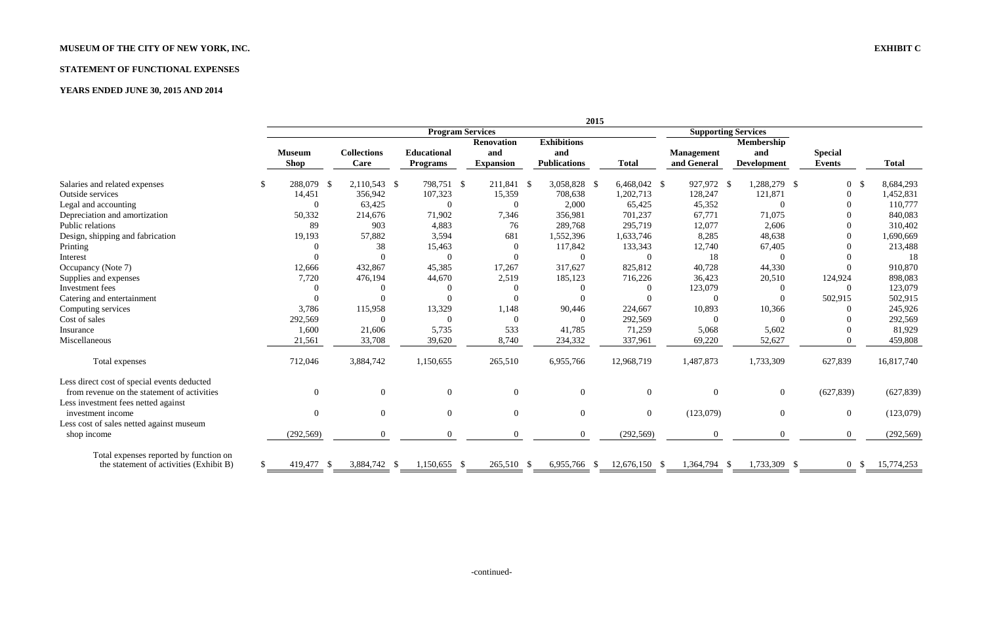# **MUSEUM OF THE CITY OF NEW YORK, INC. EXHIBIT C**

# **STATEMENT OF FUNCTIONAL EXPENSES**

# **YEARS ENDED JUNE 30, 2015 AND 2014**

|                                                                                            |                              |                            |                                       |                                              |                                                  | 2015           |                                  |                                         |                                 |              |
|--------------------------------------------------------------------------------------------|------------------------------|----------------------------|---------------------------------------|----------------------------------------------|--------------------------------------------------|----------------|----------------------------------|-----------------------------------------|---------------------------------|--------------|
|                                                                                            |                              |                            |                                       | <b>Program Services</b>                      |                                                  |                |                                  | <b>Supporting Services</b>              |                                 |              |
|                                                                                            | <b>Museum</b><br><b>Shop</b> | <b>Collections</b><br>Care | <b>Educational</b><br><b>Programs</b> | <b>Renovation</b><br>and<br><b>Expansion</b> | <b>Exhibitions</b><br>and<br><b>Publications</b> | <b>Total</b>   | <b>Management</b><br>and General | <b>Membership</b><br>and<br>Development | <b>Special</b><br><b>Events</b> | <b>Total</b> |
| Salaries and related expenses                                                              | 288,079 \$                   | 2,110,543 \$               | 798,751 \$                            | 211,841 \$                                   | 3,058,828 \$                                     | 6,468,042 \$   | 927,972 \$                       | 1,288,279 \$                            | $\overline{0}$                  | 8,684,293    |
| Outside services                                                                           | 14,451                       | 356,942                    | 107,323                               | 15,359                                       | 708,638                                          | 1,202,713      | 128,247                          | 121,871                                 |                                 | 1,452,831    |
| Legal and accounting                                                                       | $\Omega$                     | 63,425                     | $\theta$                              | $\overline{0}$                               | 2,000                                            | 65,425         | 45,352                           | $\Omega$                                |                                 | 110,777      |
| Depreciation and amortization                                                              | 50,332                       | 214,676                    | 71,902                                | 7,346                                        | 356,981                                          | 701,237        | 67,771                           | 71,075                                  |                                 | 840,083      |
| Public relations                                                                           | 89                           | 903                        | 4,883                                 | 76                                           | 289,768                                          | 295,719        | 12,077                           | 2,606                                   |                                 | 310,402      |
| Design, shipping and fabrication                                                           | 19,193                       | 57,882                     | 3,594                                 | 681                                          | 1,552,396                                        | 1,633,746      | 8,285                            | 48,638                                  |                                 | 1,690,669    |
| Printing                                                                                   |                              | 38                         | 15,463                                | $\Omega$                                     | 117,842                                          | 133,343        | 12,740                           | 67,405                                  |                                 | 213,488      |
| Interest                                                                                   |                              |                            | $\Omega$                              | $\Omega$                                     | $\theta$                                         | $\theta$       | 18                               | $\Omega$                                |                                 | 18           |
| Occupancy (Note 7)                                                                         | 12,666                       | 432,867                    | 45,385                                | 17,267                                       | 317,627                                          | 825,812        | 40,728                           | 44,330                                  |                                 | 910,870      |
| Supplies and expenses                                                                      | 7,720                        | 476,194                    | 44,670                                | 2,519                                        | 185,123                                          | 716,226        | 36,423                           | 20,510                                  | 124,924                         | 898,083      |
| Investment fees                                                                            |                              |                            |                                       |                                              |                                                  | $\Omega$       | 123,079                          | 0                                       | $\theta$                        | 123,079      |
| Catering and entertainment                                                                 |                              |                            |                                       |                                              |                                                  |                | $\Omega$                         | $\Omega$                                | 502,915                         | 502,915      |
| Computing services                                                                         | 3,786                        | 115,958                    | 13,329                                | 1,148                                        | 90,446                                           | 224,667        | 10,893                           | 10,366                                  | $\left( \right)$                | 245,926      |
| Cost of sales                                                                              | 292,569                      | $\Omega$                   |                                       | $\Omega$                                     | $\theta$                                         | 292,569        | $\Omega$                         | $\Omega$                                |                                 | 292,569      |
| Insurance                                                                                  | 1,600                        | 21,606                     | 5,735                                 | 533                                          | 41,785                                           | 71,259         | 5,068                            | 5,602                                   |                                 | 81,929       |
| Miscellaneous                                                                              | 21,561                       | 33,708                     | 39,620                                | 8,740                                        | 234,332                                          | 337,961        | 69,220                           | 52,627                                  |                                 | 459,808      |
| Total expenses                                                                             | 712,046                      | 3,884,742                  | 1,150,655                             | 265,510                                      | 6,955,766                                        | 12,968,719     | 1,487,873                        | 1,733,309                               | 627,839                         | 16,817,740   |
| Less direct cost of special events deducted<br>from revenue on the statement of activities | $\theta$                     | $\theta$                   | $\theta$                              | $\overline{0}$                               | $\overline{0}$                                   | $\overline{0}$ | $\Omega$                         | $\overline{0}$                          | (627, 839)                      | (627, 839)   |
| Less investment fees netted against                                                        |                              |                            |                                       |                                              |                                                  |                |                                  |                                         |                                 |              |
| investment income                                                                          | $\overline{0}$               | $\theta$                   | $\Omega$                              | $\overline{0}$                               | $\overline{0}$                                   | $\overline{0}$ | (123,079)                        | $\Omega$                                | $\overline{0}$                  | (123,079)    |
| Less cost of sales netted against museum                                                   |                              |                            |                                       |                                              |                                                  |                |                                  |                                         |                                 |              |
| shop income                                                                                | (292, 569)                   | $\Omega$                   | $\theta$                              | $\Omega$                                     | $\Omega$                                         | (292, 569)     | $\theta$                         | $\Omega$                                | $\overline{0}$                  | (292, 569)   |
| Total expenses reported by function on<br>the statement of activities (Exhibit B)          | 419,477 \$                   | 3,884,742 \$               | $1,150,655$ \$                        | 265,510 \$                                   | 6,955,766 \$                                     | 12,676,150 \$  | 1,364,794 \$                     | 1,733,309 \$                            | $0 \text{ }$ \$                 | 15,774,253   |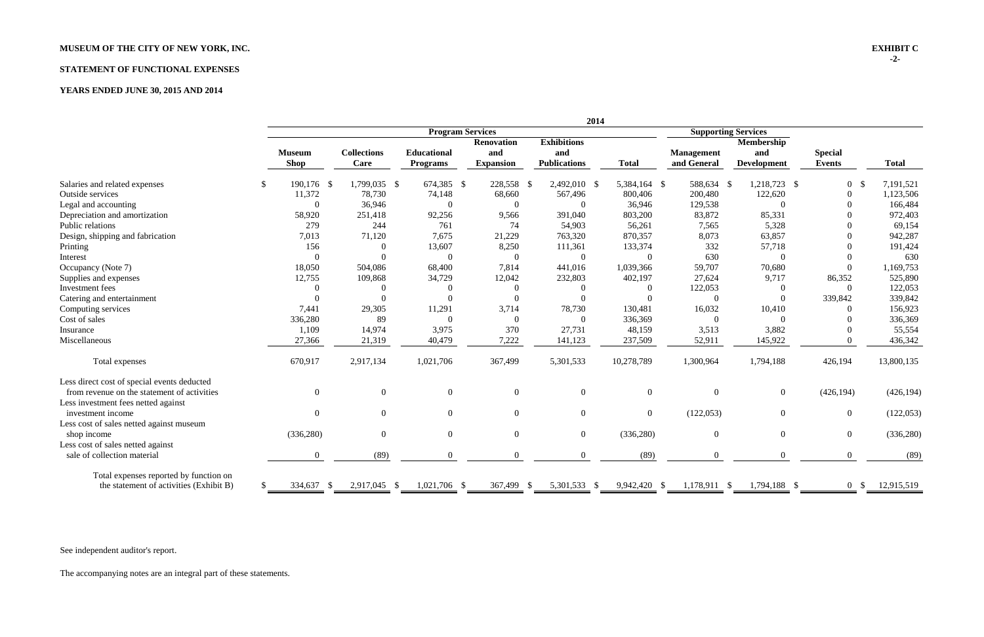# **MUSEUM OF THE CITY OF NEW YORK, INC. EXHIBIT C**

# **STATEMENT OF FUNCTIONAL EXPENSES**

# **YEARS ENDED JUNE 30, 2015 AND 2014**

|                                             | 2014 |                  |                    |                         |                   |                     |                |                   |                            |                |              |
|---------------------------------------------|------|------------------|--------------------|-------------------------|-------------------|---------------------|----------------|-------------------|----------------------------|----------------|--------------|
|                                             |      |                  |                    | <b>Program Services</b> |                   |                     |                |                   | <b>Supporting Services</b> |                |              |
|                                             |      |                  |                    |                         | <b>Renovation</b> | <b>Exhibitions</b>  |                |                   | Membership                 |                |              |
|                                             |      | <b>Museum</b>    | <b>Collections</b> | <b>Educational</b>      | and               | and                 |                | <b>Management</b> | and                        | <b>Special</b> |              |
|                                             |      | <b>Shop</b>      | Care               | <b>Programs</b>         | <b>Expansion</b>  | <b>Publications</b> | <b>Total</b>   | and General       | <b>Development</b>         | <b>Events</b>  | <b>Total</b> |
| Salaries and related expenses               |      | 190,176 \$       | 1,799,035 \$       | 674,385 \$              | 228,558 \$        | 2,492,010 \$        | 5,384,164 \$   | 588,634 \$        | 1,218,723 \$               | $\overline{0}$ | 7,191,521    |
| Outside services                            |      | 11,372           | 78,730             | 74,148                  | 68,660            | 567,496             | 800,406        | 200,480           | 122,620                    | $\Omega$       | 1,123,506    |
| Legal and accounting                        |      | $\Omega$         | 36,946             | $\theta$                | $\overline{0}$    | $\overline{0}$      | 36,946         | 129,538           | $\overline{0}$             | $\Omega$       | 166,484      |
| Depreciation and amortization               |      | 58,920           | 251,418            | 92,256                  | 9,566             | 391,040             | 803,200        | 83,872            | 85,331                     |                | 972,403      |
| Public relations                            |      | 279              | 244                | 761                     | 74                | 54,903              | 56,261         | 7,565             | 5,328                      |                | 69,154       |
| Design, shipping and fabrication            |      | 7,013            | 71,120             | 7,675                   | 21,229            | 763,320             | 870,357        | 8,073             | 63,857                     |                | 942,287      |
| Printing                                    |      | 156              | $\overline{0}$     | 13,607                  | 8,250             | 111,361             | 133,374        | 332               | 57,718                     |                | 191,424      |
| Interest                                    |      | $\overline{0}$   | $\Omega$           | $\overline{0}$          | $\boldsymbol{0}$  | $\boldsymbol{0}$    | $\overline{0}$ | 630               | $\overline{0}$             |                | 630          |
| Occupancy (Note 7)                          |      | 18,050           | 504,086            | 68,400                  | 7,814             | 441,016             | 1,039,366      | 59,707            | 70,680                     | $\mathbf{0}$   | 1,169,753    |
| Supplies and expenses                       |      | 12,755           | 109,868            | 34,729                  | 12,042            | 232,803             | 402,197        | 27,624            | 9,717                      | 86,352         | 525,890      |
| Investment fees                             |      |                  |                    |                         | $\Omega$          | $\Omega$            | $\theta$       | 122,053           | $\Omega$                   | $\overline{0}$ | 122,053      |
| Catering and entertainment                  |      |                  |                    |                         | $\overline{0}$    | $\Omega$            | $\Omega$       | $\Omega$          | $\overline{0}$             | 339,842        | 339,842      |
| Computing services                          |      | 7,441            | 29,305             | 11,291                  | 3,714             | 78,730              | 130,481        | 16,032            | 10,410                     | $\theta$       | 156,923      |
| Cost of sales                               |      | 336,280          | 89                 | $\Omega$                | $\overline{0}$    | $\theta$            | 336,369        | $\Omega$          | $\Omega$                   |                | 336,369      |
| Insurance                                   |      | 1,109            | 14,974             | 3,975                   | 370               | 27,731              | 48,159         | 3,513             | 3,882                      |                | 55,554       |
| Miscellaneous                               |      | 27,366           | 21,319             | 40,479                  | 7,222             | 141,123             | 237,509        | 52,911            | 145,922                    | $\Omega$       | 436,342      |
| Total expenses                              |      | 670,917          | 2,917,134          | 1,021,706               | 367,499           | 5,301,533           | 10,278,789     | 1,300,964         | 1,794,188                  | 426,194        | 13,800,135   |
| Less direct cost of special events deducted |      |                  |                    |                         |                   |                     |                |                   |                            |                |              |
| from revenue on the statement of activities |      | $\boldsymbol{0}$ | $\boldsymbol{0}$   | $\mathbf{0}$            | $\mathbf{0}$      | $\boldsymbol{0}$    | $\overline{0}$ | $\overline{0}$    | $\boldsymbol{0}$           | (426, 194)     | (426, 194)   |
| Less investment fees netted against         |      |                  |                    |                         |                   |                     |                |                   |                            |                |              |
| investment income                           |      | $\overline{0}$   | $\overline{0}$     | $\overline{0}$          | $\theta$          | $\overline{0}$      | $\overline{0}$ | (122, 053)        | $\overline{0}$             | $\overline{0}$ | (122,053)    |
| Less cost of sales netted against museum    |      |                  |                    |                         |                   |                     |                |                   |                            |                |              |
| shop income                                 |      | (336, 280)       | $\theta$           | $\overline{0}$          | $\overline{0}$    | $\overline{0}$      | (336, 280)     | $\overline{0}$    | $\overline{0}$             | $\overline{0}$ | (336, 280)   |
| Less cost of sales netted against           |      |                  |                    |                         |                   |                     |                |                   |                            |                |              |
| sale of collection material                 |      | $\overline{0}$   | (89)               |                         | $\Omega$          | $\Omega$            | (89)           | $\Omega$          | $\Omega$                   | $\Omega$       | (89)         |
| Total expenses reported by function on      |      |                  |                    |                         |                   |                     |                |                   |                            |                |              |
| the statement of activities (Exhibit B)     |      | 334,637 \$       | 2,917,045 \$       | $1,021,706$ \$          | 367,499 \$        | 5,301,533 \$        | 9,942,420 \$   | $1,178,911$ \$    | 1,794,188 \$               | $0 \quad$      | 12,915,519   |

See independent auditor's report.

The accompanying notes are an integral part of these statements.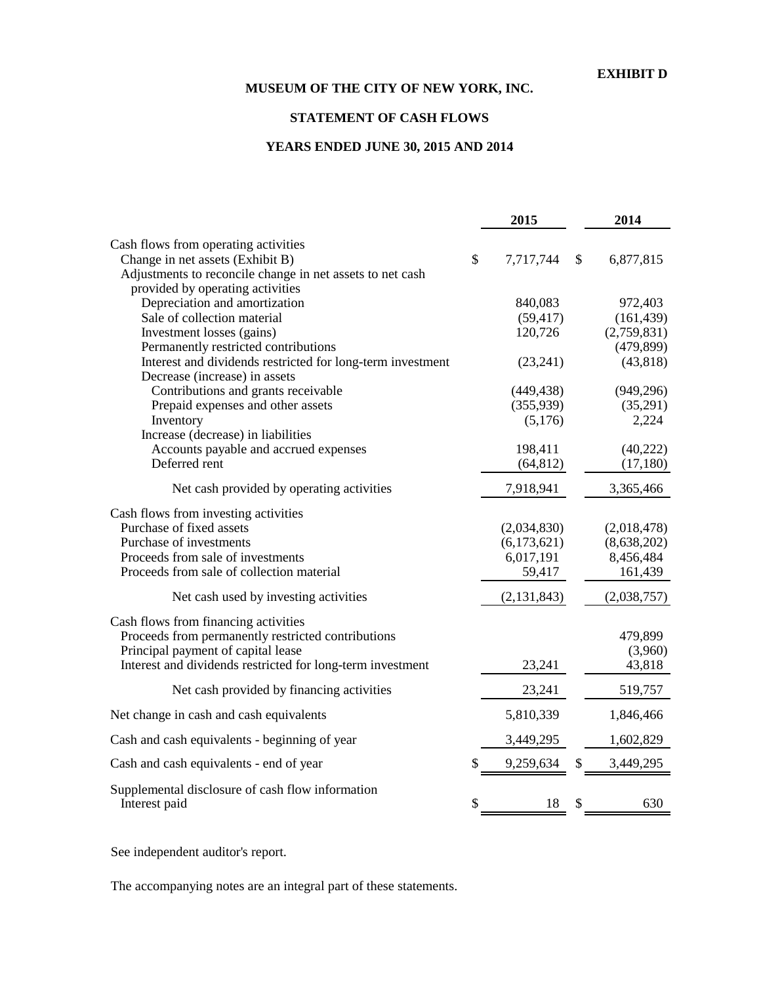# **STATEMENT OF CASH FLOWS**

# **YEARS ENDED JUNE 30, 2015 AND 2014**

|                                                            | 2015            | 2014              |
|------------------------------------------------------------|-----------------|-------------------|
| Cash flows from operating activities                       |                 |                   |
| Change in net assets (Exhibit B)                           | \$<br>7,717,744 | \$<br>6,877,815   |
| Adjustments to reconcile change in net assets to net cash  |                 |                   |
| provided by operating activities                           |                 |                   |
| Depreciation and amortization                              | 840,083         | 972,403           |
| Sale of collection material                                | (59, 417)       | (161, 439)        |
| Investment losses (gains)                                  | 120,726         | (2,759,831)       |
| Permanently restricted contributions                       |                 | (479, 899)        |
| Interest and dividends restricted for long-term investment | (23, 241)       | (43, 818)         |
| Decrease (increase) in assets                              |                 |                   |
| Contributions and grants receivable                        | (449, 438)      | (949, 296)        |
| Prepaid expenses and other assets                          | (355, 939)      | (35,291)<br>2,224 |
| Inventory<br>Increase (decrease) in liabilities            | (5,176)         |                   |
| Accounts payable and accrued expenses                      | 198,411         | (40, 222)         |
| Deferred rent                                              | (64, 812)       | (17,180)          |
|                                                            |                 |                   |
| Net cash provided by operating activities                  | 7,918,941       | 3,365,466         |
| Cash flows from investing activities                       |                 |                   |
| Purchase of fixed assets                                   | (2,034,830)     | (2,018,478)       |
| Purchase of investments                                    | (6,173,621)     | (8,638,202)       |
| Proceeds from sale of investments                          | 6,017,191       | 8,456,484         |
| Proceeds from sale of collection material                  | 59,417          | 161,439           |
| Net cash used by investing activities                      | (2, 131, 843)   | (2,038,757)       |
| Cash flows from financing activities                       |                 |                   |
| Proceeds from permanently restricted contributions         |                 | 479,899           |
| Principal payment of capital lease                         |                 | (3,960)           |
| Interest and dividends restricted for long-term investment | 23,241          | 43,818            |
| Net cash provided by financing activities                  | 23,241          | 519,757           |
| Net change in cash and cash equivalents                    | 5,810,339       | 1,846,466         |
| Cash and cash equivalents - beginning of year              | 3,449,295       | 1,602,829         |
| Cash and cash equivalents - end of year                    | 9,259,634       | \$<br>3,449,295   |
| Supplemental disclosure of cash flow information           |                 |                   |
| Interest paid                                              | \$<br>18        | \$<br>630         |

See independent auditor's report.

The accompanying notes are an integral part of these statements.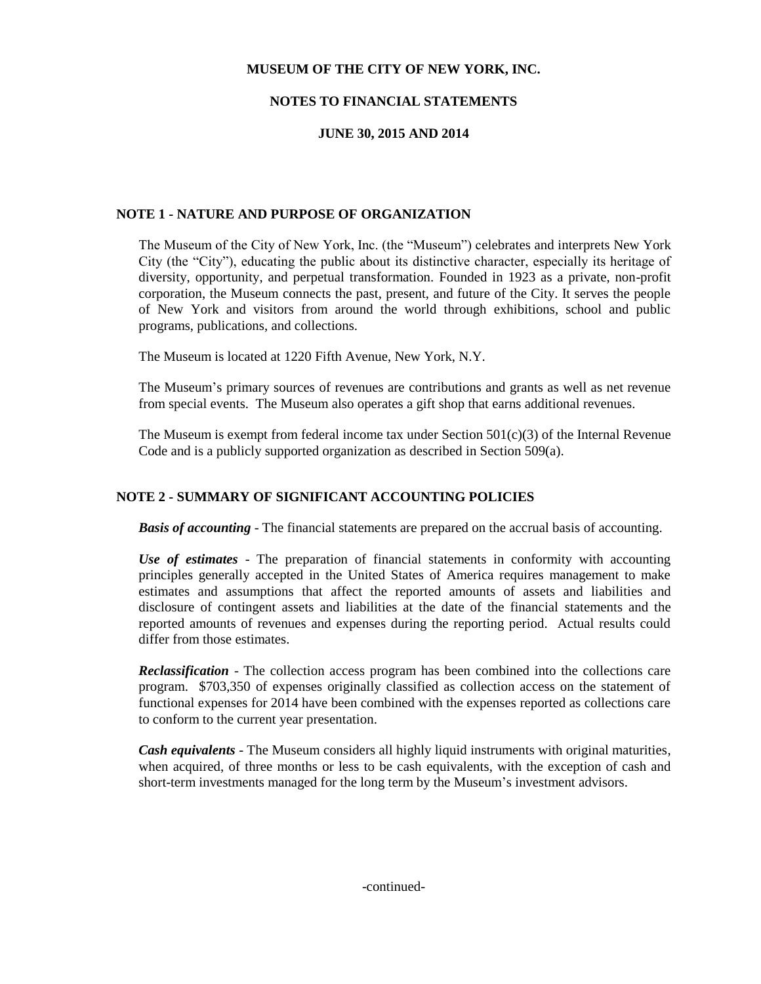# **NOTES TO FINANCIAL STATEMENTS**

# **JUNE 30, 2015 AND 2014**

#### **NOTE 1 - NATURE AND PURPOSE OF ORGANIZATION**

The Museum of the City of New York, Inc. (the "Museum") celebrates and interprets New York City (the "City"), educating the public about its distinctive character, especially its heritage of diversity, opportunity, and perpetual transformation. Founded in 1923 as a private, non-profit corporation, the Museum connects the past, present, and future of the City. It serves the people of New York and visitors from around the world through exhibitions, school and public programs, publications, and collections.

The Museum is located at 1220 Fifth Avenue, New York, N.Y.

The Museum's primary sources of revenues are contributions and grants as well as net revenue from special events. The Museum also operates a gift shop that earns additional revenues.

The Museum is exempt from federal income tax under Section  $501(c)(3)$  of the Internal Revenue Code and is a publicly supported organization as described in Section 509(a).

#### **NOTE 2 - SUMMARY OF SIGNIFICANT ACCOUNTING POLICIES**

*Basis of accounting* - The financial statements are prepared on the accrual basis of accounting.

*Use of estimates* - The preparation of financial statements in conformity with accounting principles generally accepted in the United States of America requires management to make estimates and assumptions that affect the reported amounts of assets and liabilities and disclosure of contingent assets and liabilities at the date of the financial statements and the reported amounts of revenues and expenses during the reporting period. Actual results could differ from those estimates.

*Reclassification* - The collection access program has been combined into the collections care program. \$703,350 of expenses originally classified as collection access on the statement of functional expenses for 2014 have been combined with the expenses reported as collections care to conform to the current year presentation.

*Cash equivalents* - The Museum considers all highly liquid instruments with original maturities, when acquired, of three months or less to be cash equivalents, with the exception of cash and short-term investments managed for the long term by the Museum's investment advisors.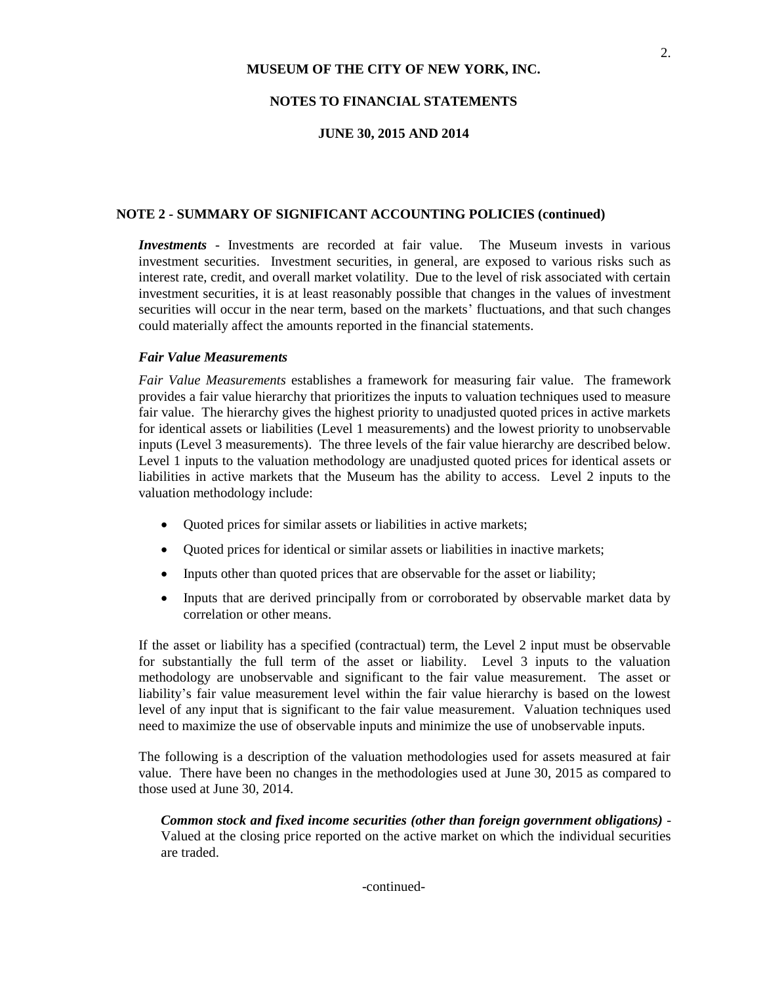#### **NOTES TO FINANCIAL STATEMENTS**

#### **JUNE 30, 2015 AND 2014**

#### **NOTE 2 - SUMMARY OF SIGNIFICANT ACCOUNTING POLICIES (continued)**

*Investments* - Investments are recorded at fair value. The Museum invests in various investment securities. Investment securities, in general, are exposed to various risks such as interest rate, credit, and overall market volatility. Due to the level of risk associated with certain investment securities, it is at least reasonably possible that changes in the values of investment securities will occur in the near term, based on the markets' fluctuations, and that such changes could materially affect the amounts reported in the financial statements.

#### *Fair Value Measurements*

*Fair Value Measurements* establishes a framework for measuring fair value. The framework provides a fair value hierarchy that prioritizes the inputs to valuation techniques used to measure fair value. The hierarchy gives the highest priority to unadjusted quoted prices in active markets for identical assets or liabilities (Level 1 measurements) and the lowest priority to unobservable inputs (Level 3 measurements). The three levels of the fair value hierarchy are described below. Level 1 inputs to the valuation methodology are unadjusted quoted prices for identical assets or liabilities in active markets that the Museum has the ability to access. Level 2 inputs to the valuation methodology include:

- Quoted prices for similar assets or liabilities in active markets;
- Quoted prices for identical or similar assets or liabilities in inactive markets;
- Inputs other than quoted prices that are observable for the asset or liability;
- Inputs that are derived principally from or corroborated by observable market data by correlation or other means.

If the asset or liability has a specified (contractual) term, the Level 2 input must be observable for substantially the full term of the asset or liability. Level 3 inputs to the valuation methodology are unobservable and significant to the fair value measurement. The asset or liability's fair value measurement level within the fair value hierarchy is based on the lowest level of any input that is significant to the fair value measurement. Valuation techniques used need to maximize the use of observable inputs and minimize the use of unobservable inputs.

The following is a description of the valuation methodologies used for assets measured at fair value. There have been no changes in the methodologies used at June 30, 2015 as compared to those used at June 30, 2014.

*Common stock and fixed income securities (other than foreign government obligations)* - Valued at the closing price reported on the active market on which the individual securities are traded.

-continued-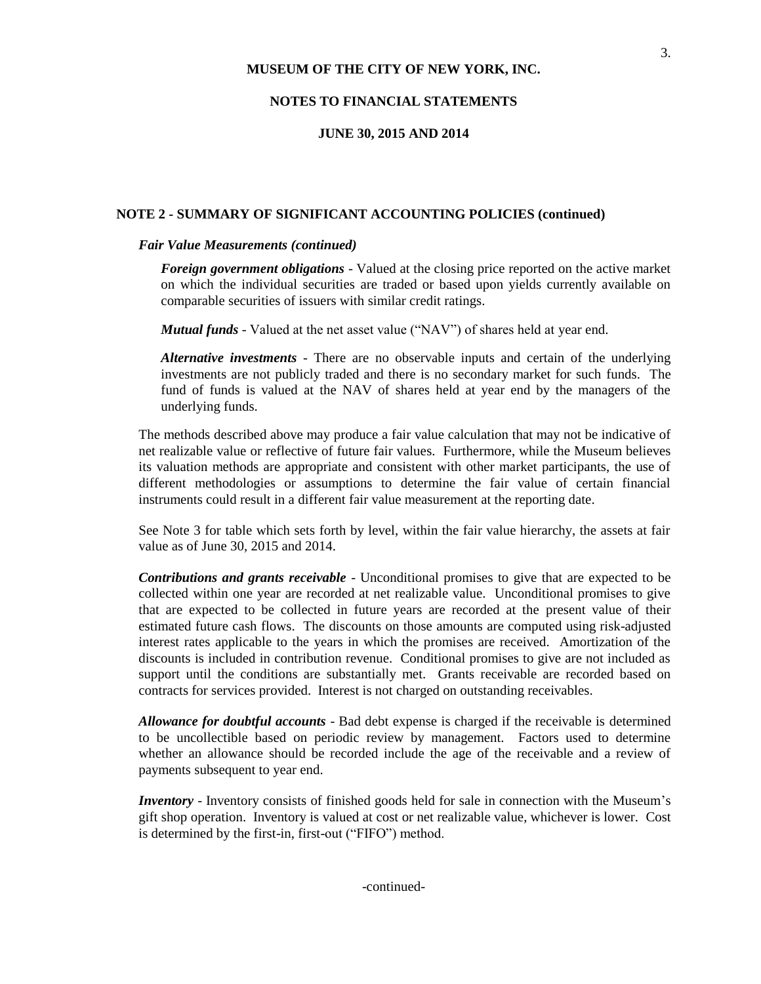#### **NOTES TO FINANCIAL STATEMENTS**

#### **JUNE 30, 2015 AND 2014**

#### **NOTE 2 - SUMMARY OF SIGNIFICANT ACCOUNTING POLICIES (continued)**

#### *Fair Value Measurements (continued)*

*Foreign government obligations* - Valued at the closing price reported on the active market on which the individual securities are traded or based upon yields currently available on comparable securities of issuers with similar credit ratings.

*Mutual funds* - Valued at the net asset value ("NAV") of shares held at year end.

*Alternative investments* - There are no observable inputs and certain of the underlying investments are not publicly traded and there is no secondary market for such funds. The fund of funds is valued at the NAV of shares held at year end by the managers of the underlying funds.

The methods described above may produce a fair value calculation that may not be indicative of net realizable value or reflective of future fair values. Furthermore, while the Museum believes its valuation methods are appropriate and consistent with other market participants, the use of different methodologies or assumptions to determine the fair value of certain financial instruments could result in a different fair value measurement at the reporting date.

See Note 3 for table which sets forth by level, within the fair value hierarchy, the assets at fair value as of June 30, 2015 and 2014.

*Contributions and grants receivable* - Unconditional promises to give that are expected to be collected within one year are recorded at net realizable value. Unconditional promises to give that are expected to be collected in future years are recorded at the present value of their estimated future cash flows. The discounts on those amounts are computed using risk-adjusted interest rates applicable to the years in which the promises are received. Amortization of the discounts is included in contribution revenue. Conditional promises to give are not included as support until the conditions are substantially met. Grants receivable are recorded based on contracts for services provided. Interest is not charged on outstanding receivables.

*Allowance for doubtful accounts* - Bad debt expense is charged if the receivable is determined to be uncollectible based on periodic review by management. Factors used to determine whether an allowance should be recorded include the age of the receivable and a review of payments subsequent to year end.

*Inventory* - Inventory consists of finished goods held for sale in connection with the Museum's gift shop operation. Inventory is valued at cost or net realizable value, whichever is lower. Cost is determined by the first-in, first-out ("FIFO") method.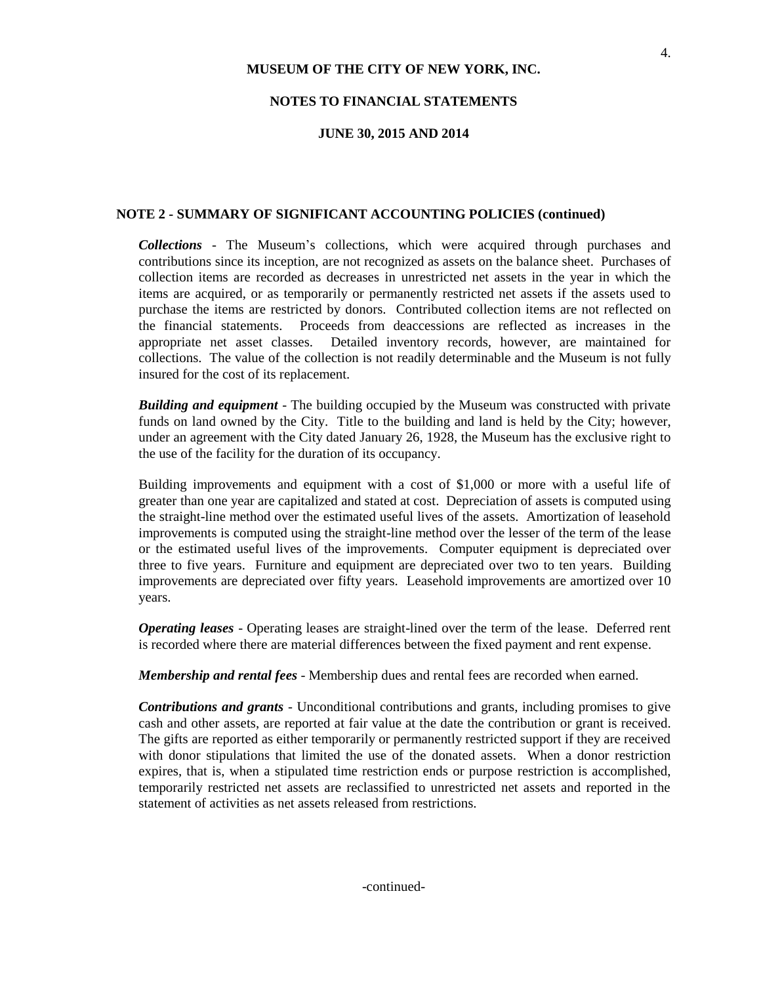#### **NOTES TO FINANCIAL STATEMENTS**

#### **JUNE 30, 2015 AND 2014**

#### **NOTE 2 - SUMMARY OF SIGNIFICANT ACCOUNTING POLICIES (continued)**

*Collections* - The Museum's collections, which were acquired through purchases and contributions since its inception, are not recognized as assets on the balance sheet. Purchases of collection items are recorded as decreases in unrestricted net assets in the year in which the items are acquired, or as temporarily or permanently restricted net assets if the assets used to purchase the items are restricted by donors. Contributed collection items are not reflected on the financial statements. Proceeds from deaccessions are reflected as increases in the appropriate net asset classes. Detailed inventory records, however, are maintained for collections. The value of the collection is not readily determinable and the Museum is not fully insured for the cost of its replacement.

*Building and equipment* - The building occupied by the Museum was constructed with private funds on land owned by the City. Title to the building and land is held by the City; however, under an agreement with the City dated January 26, 1928, the Museum has the exclusive right to the use of the facility for the duration of its occupancy.

Building improvements and equipment with a cost of \$1,000 or more with a useful life of greater than one year are capitalized and stated at cost. Depreciation of assets is computed using the straight-line method over the estimated useful lives of the assets. Amortization of leasehold improvements is computed using the straight-line method over the lesser of the term of the lease or the estimated useful lives of the improvements. Computer equipment is depreciated over three to five years. Furniture and equipment are depreciated over two to ten years. Building improvements are depreciated over fifty years. Leasehold improvements are amortized over 10 years.

*Operating leases* - Operating leases are straight-lined over the term of the lease. Deferred rent is recorded where there are material differences between the fixed payment and rent expense.

*Membership and rental fees* - Membership dues and rental fees are recorded when earned.

*Contributions and grants* - Unconditional contributions and grants, including promises to give cash and other assets, are reported at fair value at the date the contribution or grant is received. The gifts are reported as either temporarily or permanently restricted support if they are received with donor stipulations that limited the use of the donated assets. When a donor restriction expires, that is, when a stipulated time restriction ends or purpose restriction is accomplished, temporarily restricted net assets are reclassified to unrestricted net assets and reported in the statement of activities as net assets released from restrictions.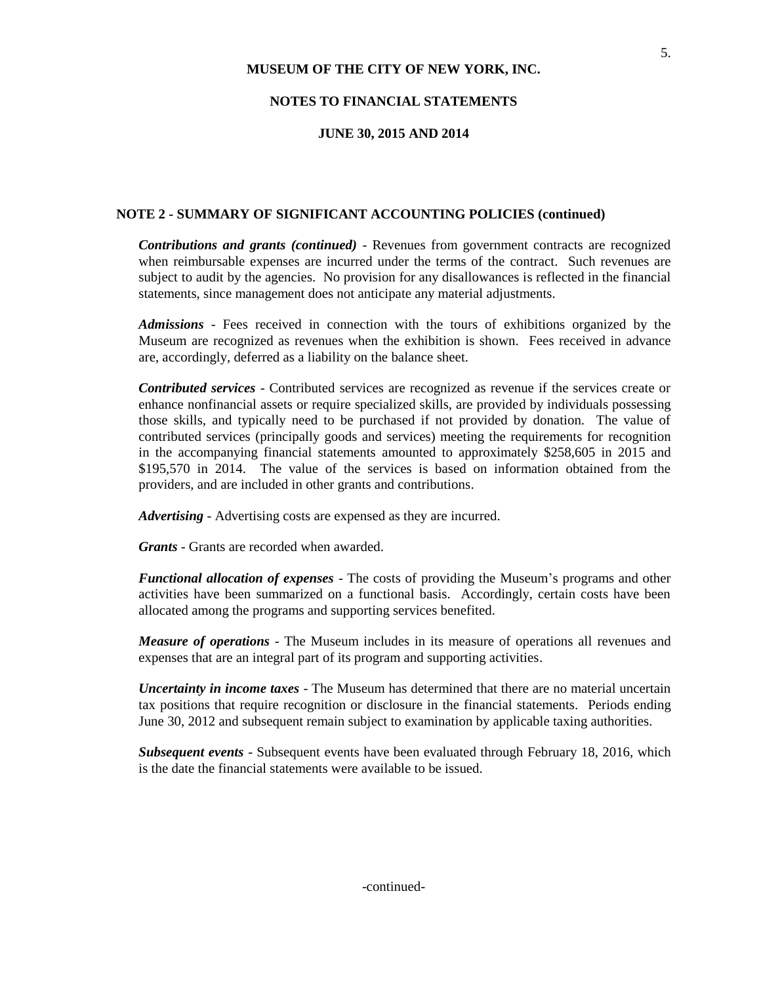#### **NOTES TO FINANCIAL STATEMENTS**

#### **JUNE 30, 2015 AND 2014**

#### **NOTE 2 - SUMMARY OF SIGNIFICANT ACCOUNTING POLICIES (continued)**

*Contributions and grants (continued)* - Revenues from government contracts are recognized when reimbursable expenses are incurred under the terms of the contract. Such revenues are subject to audit by the agencies. No provision for any disallowances is reflected in the financial statements, since management does not anticipate any material adjustments.

*Admissions* - Fees received in connection with the tours of exhibitions organized by the Museum are recognized as revenues when the exhibition is shown. Fees received in advance are, accordingly, deferred as a liability on the balance sheet.

*Contributed services* - Contributed services are recognized as revenue if the services create or enhance nonfinancial assets or require specialized skills, are provided by individuals possessing those skills, and typically need to be purchased if not provided by donation. The value of contributed services (principally goods and services) meeting the requirements for recognition in the accompanying financial statements amounted to approximately \$258,605 in 2015 and \$195,570 in 2014. The value of the services is based on information obtained from the providers, and are included in other grants and contributions.

*Advertising* - Advertising costs are expensed as they are incurred.

*Grants* - Grants are recorded when awarded.

*Functional allocation of expenses* - The costs of providing the Museum's programs and other activities have been summarized on a functional basis. Accordingly, certain costs have been allocated among the programs and supporting services benefited.

*Measure of operations* - The Museum includes in its measure of operations all revenues and expenses that are an integral part of its program and supporting activities.

*Uncertainty in income taxes* - The Museum has determined that there are no material uncertain tax positions that require recognition or disclosure in the financial statements. Periods ending June 30, 2012 and subsequent remain subject to examination by applicable taxing authorities.

*Subsequent events* - Subsequent events have been evaluated through February 18, 2016, which is the date the financial statements were available to be issued.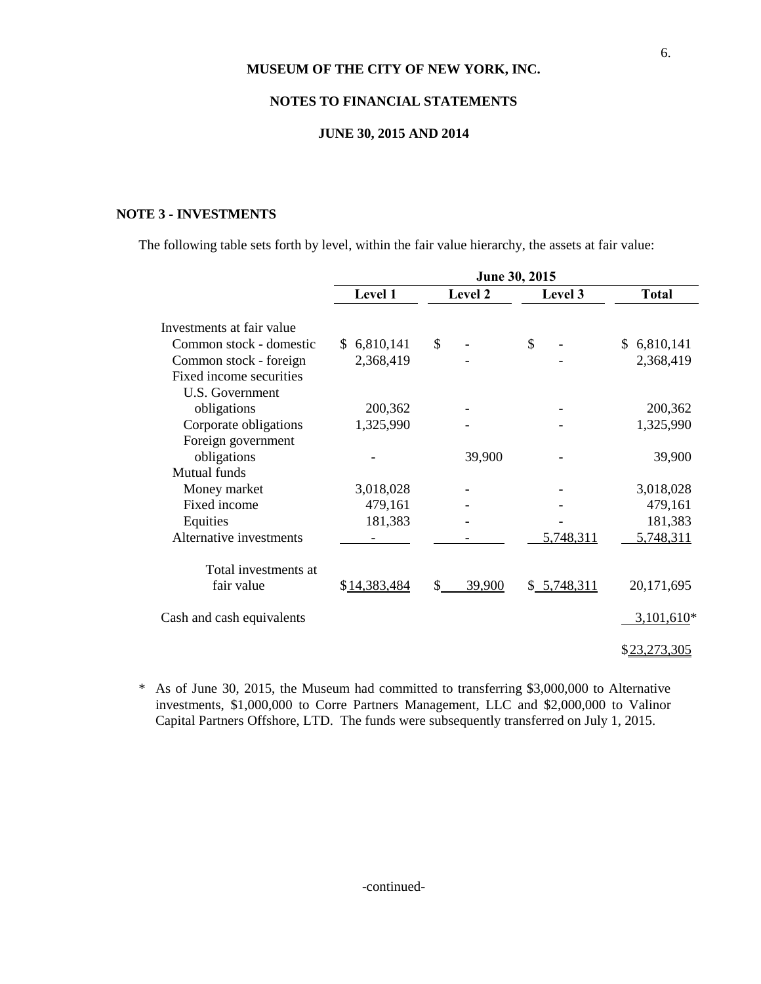### **NOTES TO FINANCIAL STATEMENTS**

#### **JUNE 30, 2015 AND 2014**

#### **NOTE 3 - INVESTMENTS**

The following table sets forth by level, within the fair value hierarchy, the assets at fair value:

|                           | June 30, 2015 |              |              |                 |  |  |  |
|---------------------------|---------------|--------------|--------------|-----------------|--|--|--|
|                           | Level 1       | Level 2      | Level 3      | <b>Total</b>    |  |  |  |
| Investments at fair value |               |              |              |                 |  |  |  |
| Common stock - domestic   | \$6,810,141   | \$           | \$           | 6,810,141<br>S. |  |  |  |
| Common stock - foreign    | 2,368,419     |              |              | 2,368,419       |  |  |  |
| Fixed income securities   |               |              |              |                 |  |  |  |
| <b>U.S. Government</b>    |               |              |              |                 |  |  |  |
| obligations               | 200,362       |              |              | 200,362         |  |  |  |
| Corporate obligations     | 1,325,990     |              |              | 1,325,990       |  |  |  |
| Foreign government        |               |              |              |                 |  |  |  |
| obligations               |               | 39,900       |              | 39,900          |  |  |  |
| Mutual funds              |               |              |              |                 |  |  |  |
| Money market              | 3,018,028     |              |              | 3,018,028       |  |  |  |
| Fixed income              | 479,161       |              |              | 479,161         |  |  |  |
| Equities                  | 181,383       |              |              | 181,383         |  |  |  |
| Alternative investments   |               |              | 5,748,311    | 5,748,311       |  |  |  |
| Total investments at      |               |              |              |                 |  |  |  |
| fair value                | \$14,383,484  | \$<br>39,900 | \$ 5,748,311 | 20,171,695      |  |  |  |
| Cash and cash equivalents |               |              |              | $3,101,610*$    |  |  |  |
|                           |               |              |              | \$23,273,305    |  |  |  |

\* As of June 30, 2015, the Museum had committed to transferring \$3,000,000 to Alternative investments, \$1,000,000 to Corre Partners Management, LLC and \$2,000,000 to Valinor Capital Partners Offshore, LTD. The funds were subsequently transferred on July 1, 2015.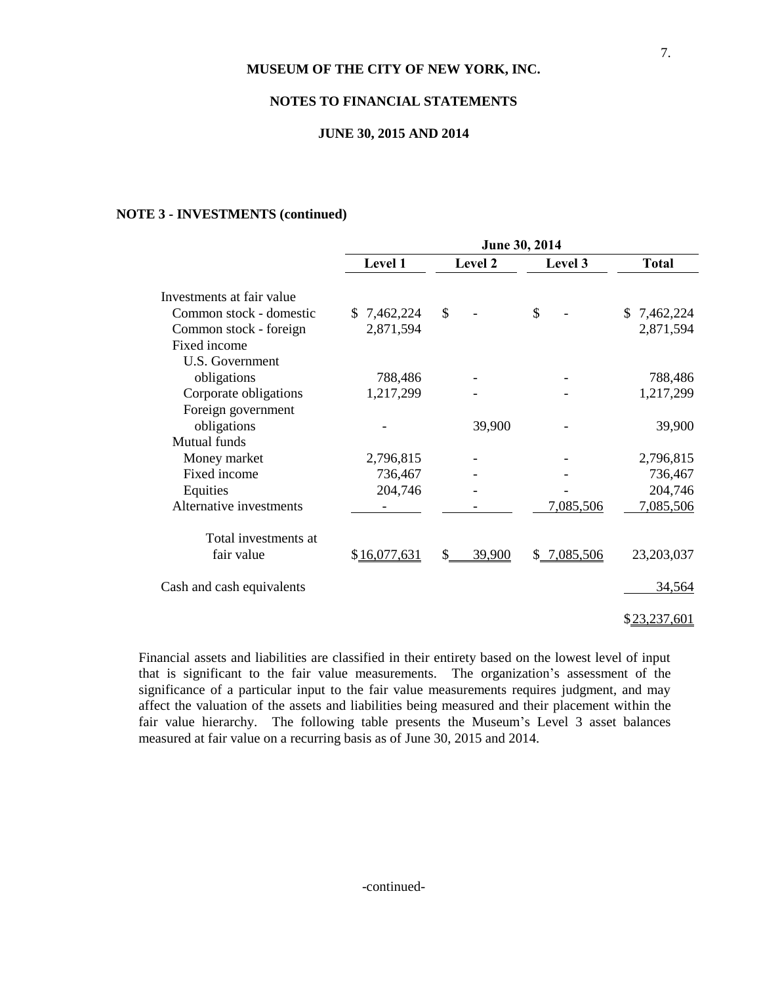### **NOTES TO FINANCIAL STATEMENTS**

#### **JUNE 30, 2015 AND 2014**

#### **NOTE 3 - INVESTMENTS (continued)**

|                           | June 30, 2014 |               |             |              |  |  |  |
|---------------------------|---------------|---------------|-------------|--------------|--|--|--|
|                           | Level 1       | Level 2       | Level 3     | <b>Total</b> |  |  |  |
| Investments at fair value |               |               |             |              |  |  |  |
| Common stock - domestic   | \$7,462,224   | \$            | \$          | \$7,462,224  |  |  |  |
| Common stock - foreign    | 2,871,594     |               |             | 2,871,594    |  |  |  |
| Fixed income              |               |               |             |              |  |  |  |
| <b>U.S. Government</b>    |               |               |             |              |  |  |  |
| obligations               | 788,486       |               |             | 788,486      |  |  |  |
| Corporate obligations     | 1,217,299     |               |             | 1,217,299    |  |  |  |
| Foreign government        |               |               |             |              |  |  |  |
| obligations               |               | 39,900        |             | 39,900       |  |  |  |
| Mutual funds              |               |               |             |              |  |  |  |
| Money market              | 2,796,815     |               |             | 2,796,815    |  |  |  |
| Fixed income              | 736,467       |               |             | 736,467      |  |  |  |
| Equities                  | 204,746       |               |             | 204,746      |  |  |  |
| Alternative investments   |               |               | 7,085,506   | 7,085,506    |  |  |  |
| Total investments at      |               |               |             |              |  |  |  |
| fair value                | \$16,077,631  | \$.<br>39,900 | \$7,085,506 | 23,203,037   |  |  |  |
| Cash and cash equivalents |               |               |             | 34,564       |  |  |  |
|                           |               |               |             |              |  |  |  |

\$23,237,601

Financial assets and liabilities are classified in their entirety based on the lowest level of input that is significant to the fair value measurements. The organization's assessment of the significance of a particular input to the fair value measurements requires judgment, and may affect the valuation of the assets and liabilities being measured and their placement within the fair value hierarchy. The following table presents the Museum's Level 3 asset balances measured at fair value on a recurring basis as of June 30, 2015 and 2014.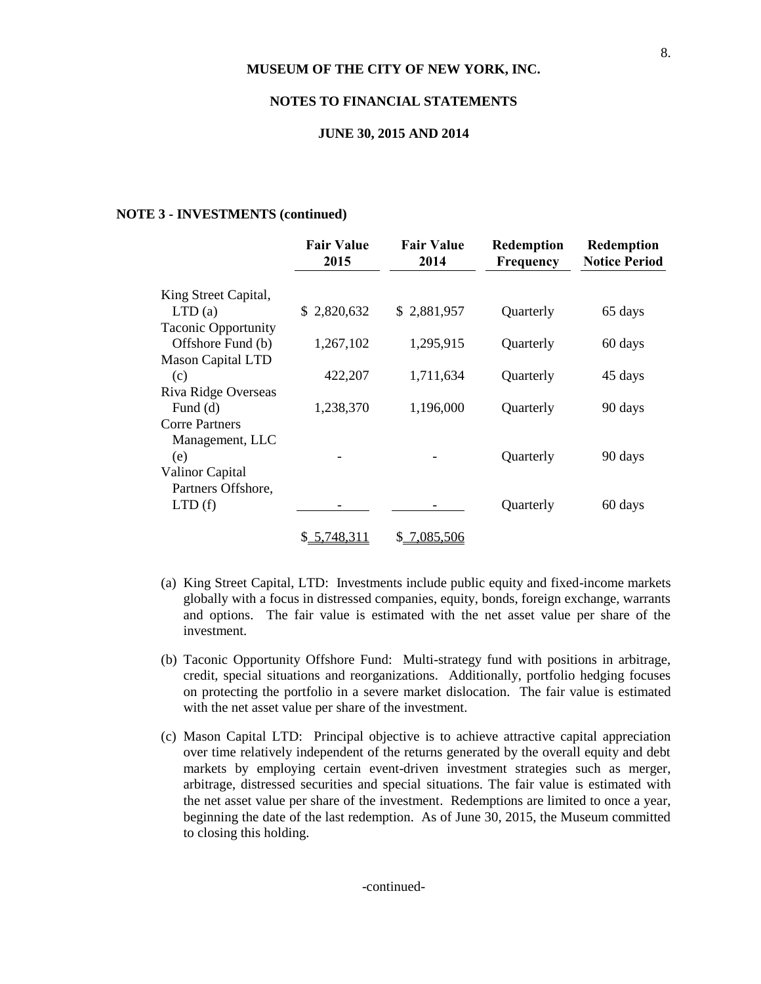#### **NOTES TO FINANCIAL STATEMENTS**

#### **JUNE 30, 2015 AND 2014**

#### **NOTE 3 - INVESTMENTS (continued)**

|                            | <b>Fair Value</b><br>2015 | <b>Fair Value</b><br>2014 | Redemption<br>Frequency | Redemption<br><b>Notice Period</b> |
|----------------------------|---------------------------|---------------------------|-------------------------|------------------------------------|
| King Street Capital,       |                           |                           |                         |                                    |
| LTD(a)                     | \$2,820,632               | \$2,881,957               | Quarterly               | 65 days                            |
| <b>Taconic Opportunity</b> |                           |                           |                         |                                    |
| Offshore Fund (b)          | 1,267,102                 | 1,295,915                 | Quarterly               | 60 days                            |
| <b>Mason Capital LTD</b>   |                           |                           |                         |                                    |
| (c)                        | 422,207                   | 1,711,634                 | Quarterly               | 45 days                            |
| Riva Ridge Overseas        |                           |                           |                         |                                    |
| Fund $(d)$                 | 1,238,370                 | 1,196,000                 | Quarterly               | 90 days                            |
| <b>Corre Partners</b>      |                           |                           |                         |                                    |
| Management, LLC            |                           |                           |                         |                                    |
| (e)                        |                           |                           | Quarterly               | 90 days                            |
| Valinor Capital            |                           |                           |                         |                                    |
| Partners Offshore,         |                           |                           |                         |                                    |
| LTD(f)                     |                           |                           | Quarterly               | 60 days                            |
|                            | \$5,748,311               | 7,085,506<br>\$           |                         |                                    |

- (a) King Street Capital, LTD: Investments include public equity and fixed-income markets globally with a focus in distressed companies, equity, bonds, foreign exchange, warrants and options. The fair value is estimated with the net asset value per share of the investment.
- (b) Taconic Opportunity Offshore Fund: Multi-strategy fund with positions in arbitrage, credit, special situations and reorganizations. Additionally, portfolio hedging focuses on protecting the portfolio in a severe market dislocation. The fair value is estimated with the net asset value per share of the investment.
- (c) Mason Capital LTD: Principal objective is to achieve attractive capital appreciation over time relatively independent of the returns generated by the overall equity and debt markets by employing certain event-driven investment strategies such as merger, arbitrage, distressed securities and special situations. The fair value is estimated with the net asset value per share of the investment. Redemptions are limited to once a year, beginning the date of the last redemption. As of June 30, 2015, the Museum committed to closing this holding.

-continued-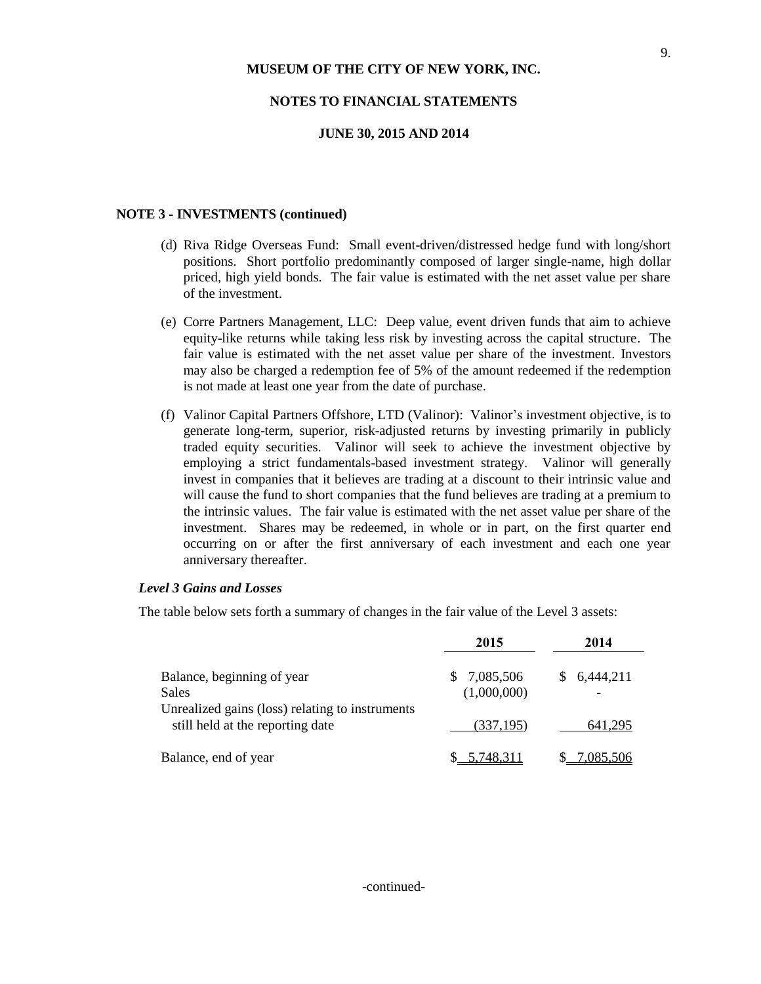#### **NOTES TO FINANCIAL STATEMENTS**

#### **JUNE 30, 2015 AND 2014**

#### **NOTE 3 - INVESTMENTS (continued)**

- (d) Riva Ridge Overseas Fund: Small event-driven/distressed hedge fund with long/short positions. Short portfolio predominantly composed of larger single-name, high dollar priced, high yield bonds. The fair value is estimated with the net asset value per share of the investment.
- (e) Corre Partners Management, LLC: Deep value, event driven funds that aim to achieve equity-like returns while taking less risk by investing across the capital structure. The fair value is estimated with the net asset value per share of the investment. Investors may also be charged a redemption fee of 5% of the amount redeemed if the redemption is not made at least one year from the date of purchase.
- (f) Valinor Capital Partners Offshore, LTD (Valinor): Valinor's investment objective, is to generate long-term, superior, risk-adjusted returns by investing primarily in publicly traded equity securities. Valinor will seek to achieve the investment objective by employing a strict fundamentals-based investment strategy. Valinor will generally invest in companies that it believes are trading at a discount to their intrinsic value and will cause the fund to short companies that the fund believes are trading at a premium to the intrinsic values. The fair value is estimated with the net asset value per share of the investment. Shares may be redeemed, in whole or in part, on the first quarter end occurring on or after the first anniversary of each investment and each one year anniversary thereafter.

#### *Level 3 Gains and Losses*

The table below sets forth a summary of changes in the fair value of the Level 3 assets:

|                                                                                     | 2015                          | 2014      |
|-------------------------------------------------------------------------------------|-------------------------------|-----------|
| Balance, beginning of year<br>Sales                                                 | 7,085,506<br>S<br>(1,000,000) | 6,444,211 |
| Unrealized gains (loss) relating to instruments<br>still held at the reporting date | (337, 195)                    | 641.295   |
| Balance, end of year                                                                | \$ 5.748.311                  | 7.085.506 |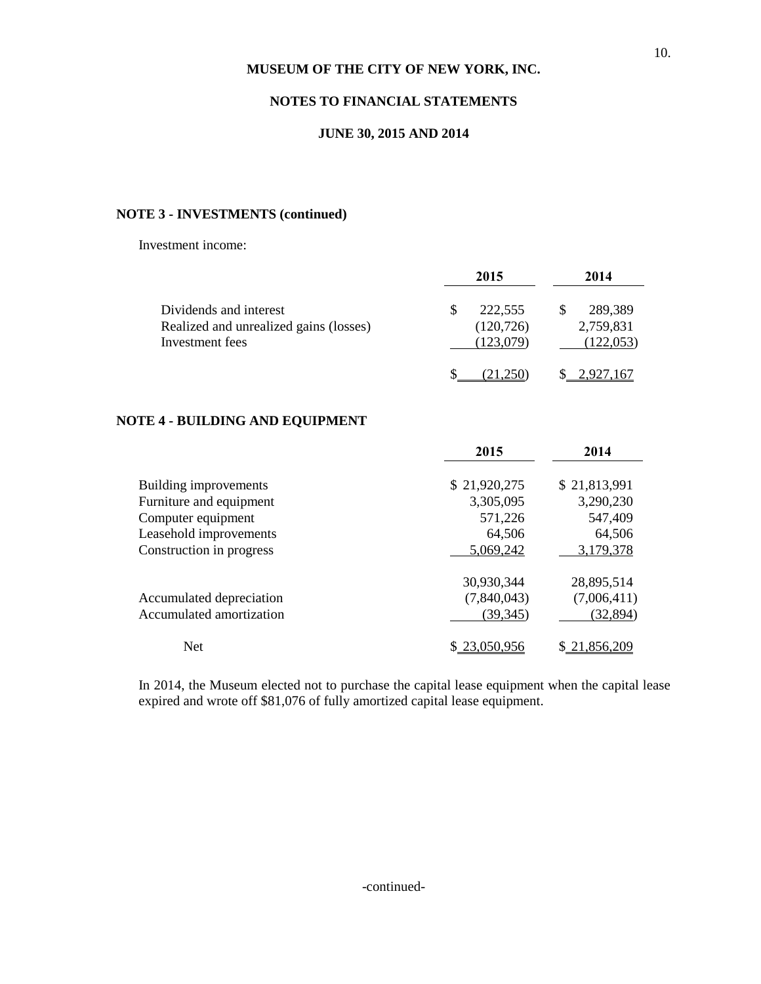# **NOTES TO FINANCIAL STATEMENTS**

#### **JUNE 30, 2015 AND 2014**

# **NOTE 3 - INVESTMENTS (continued)**

Investment income:

|                                                                                     | 2015                               | 2014                               |
|-------------------------------------------------------------------------------------|------------------------------------|------------------------------------|
| Dividends and interest<br>Realized and unrealized gains (losses)<br>Investment fees | 222,555<br>(120, 726)<br>(123.079) | 289,389<br>2,759,831<br>(122, 053) |
|                                                                                     |                                    |                                    |

# **NOTE 4 - BUILDING AND EQUIPMENT**

|                          | 2015         | 2014         |
|--------------------------|--------------|--------------|
| Building improvements    | \$21,920,275 | \$21,813,991 |
| Furniture and equipment  | 3,305,095    | 3,290,230    |
| Computer equipment       | 571,226      | 547,409      |
| Leasehold improvements   | 64,506       | 64,506       |
| Construction in progress | 5,069,242    | 3,179,378    |
|                          | 30,930,344   | 28,895,514   |
| Accumulated depreciation | (7,840,043)  | (7,006,411)  |
| Accumulated amortization | (39, 345)    | (32, 894)    |
| <b>Net</b>               | \$23,050,956 | \$21,856,209 |

In 2014, the Museum elected not to purchase the capital lease equipment when the capital lease expired and wrote off \$81,076 of fully amortized capital lease equipment.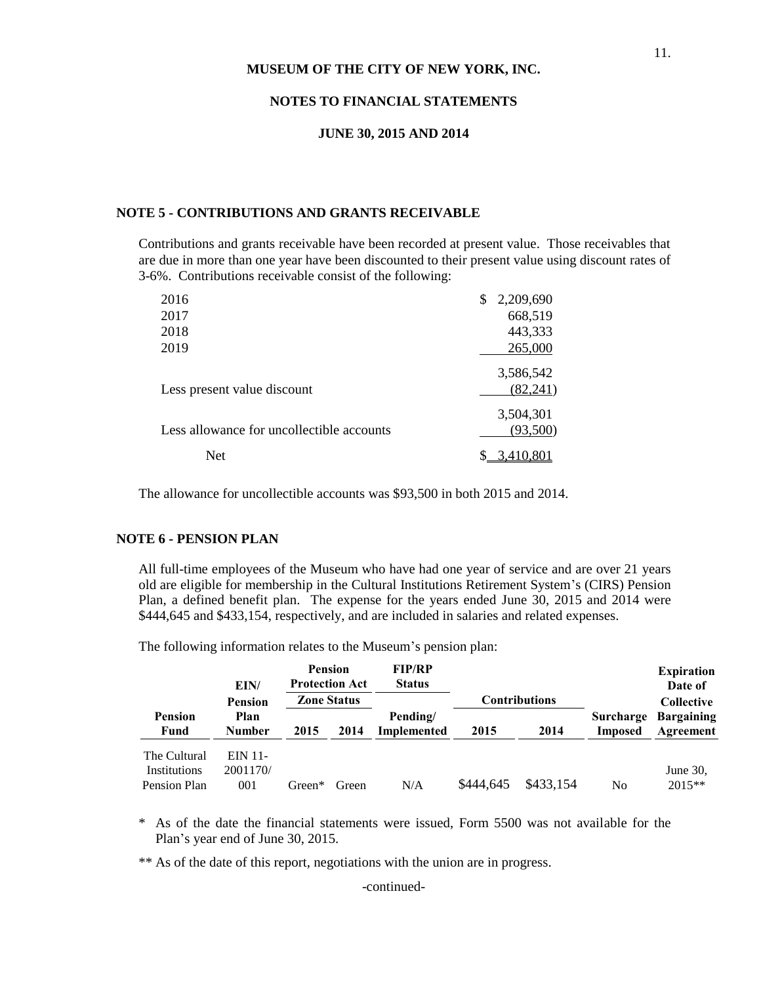#### **NOTES TO FINANCIAL STATEMENTS**

#### **JUNE 30, 2015 AND 2014**

#### **NOTE 5 - CONTRIBUTIONS AND GRANTS RECEIVABLE**

Contributions and grants receivable have been recorded at present value. Those receivables that are due in more than one year have been discounted to their present value using discount rates of 3-6%. Contributions receivable consist of the following:

| 2016                                      | \$<br>2,209,690       |
|-------------------------------------------|-----------------------|
| 2017                                      | 668,519               |
| 2018                                      | 443,333               |
| 2019                                      | 265,000               |
| Less present value discount               | 3,586,542<br>(82,241) |
| Less allowance for uncollectible accounts | 3,504,301<br>(93,500) |
| <b>Net</b>                                |                       |

The allowance for uncollectible accounts was \$93,500 in both 2015 and 2014.

#### **NOTE 6 - PENSION PLAN**

All full-time employees of the Museum who have had one year of service and are over 21 years old are eligible for membership in the Cultural Institutions Retirement System's (CIRS) Pension Plan, a defined benefit plan. The expense for the years ended June 30, 2015 and 2014 were \$444,645 and \$433,154, respectively, and are included in salaries and related expenses.

The following information relates to the Museum's pension plan:

|                                              | EIN/                                 | <b>Pension</b><br><b>Protection Act</b> |       | <b>FIP/RP</b><br><b>Status</b> |                      |           |                             | <b>Expiration</b><br>Date of   |
|----------------------------------------------|--------------------------------------|-----------------------------------------|-------|--------------------------------|----------------------|-----------|-----------------------------|--------------------------------|
|                                              | <b>Zone Status</b><br><b>Pension</b> |                                         |       |                                | <b>Contributions</b> |           |                             | <b>Collective</b>              |
| <b>Pension</b><br>Fund                       | Plan<br><b>Number</b>                | 2015                                    | 2014  | Pending/<br>Implemented        | 2015                 | 2014      | Surcharge<br><b>Imposed</b> | <b>Bargaining</b><br>Agreement |
| The Cultural<br>Institutions<br>Pension Plan | EIN 11-<br>2001170/<br>001           | Green*                                  | Green | N/A                            | \$444,645            | \$433,154 | No                          | June $30$ .<br>2015**          |

\* As of the date the financial statements were issued, Form 5500 was not available for the Plan's year end of June 30, 2015.

\*\* As of the date of this report, negotiations with the union are in progress.

-continued-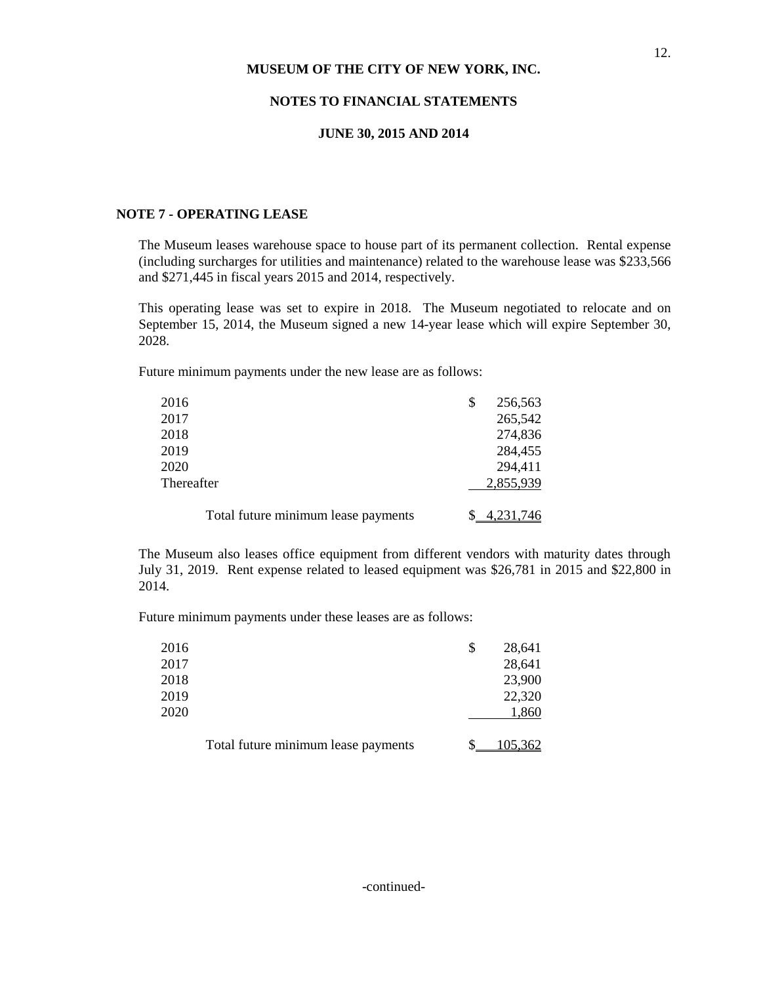#### **NOTES TO FINANCIAL STATEMENTS**

#### **JUNE 30, 2015 AND 2014**

#### **NOTE 7 - OPERATING LEASE**

The Museum leases warehouse space to house part of its permanent collection. Rental expense (including surcharges for utilities and maintenance) related to the warehouse lease was \$233,566 and \$271,445 in fiscal years 2015 and 2014, respectively.

This operating lease was set to expire in 2018. The Museum negotiated to relocate and on September 15, 2014, the Museum signed a new 14-year lease which will expire September 30, 2028.

Future minimum payments under the new lease are as follows:

| 2016                                | \$<br>256,563 |
|-------------------------------------|---------------|
| 2017                                | 265,542       |
| 2018                                | 274,836       |
| 2019                                | 284,455       |
| 2020                                | 294,411       |
| Thereafter                          | 2,855,939     |
| Total future minimum lease payments | 4,231,746     |

The Museum also leases office equipment from different vendors with maturity dates through July 31, 2019. Rent expense related to leased equipment was \$26,781 in 2015 and \$22,800 in 2014.

Future minimum payments under these leases are as follows:

| 2016 |                                     | S | 28,641  |
|------|-------------------------------------|---|---------|
| 2017 |                                     |   | 28,641  |
| 2018 |                                     |   | 23,900  |
| 2019 |                                     |   | 22,320  |
| 2020 |                                     |   | 1,860   |
|      |                                     |   |         |
|      | Total future minimum lease payments |   | 105,362 |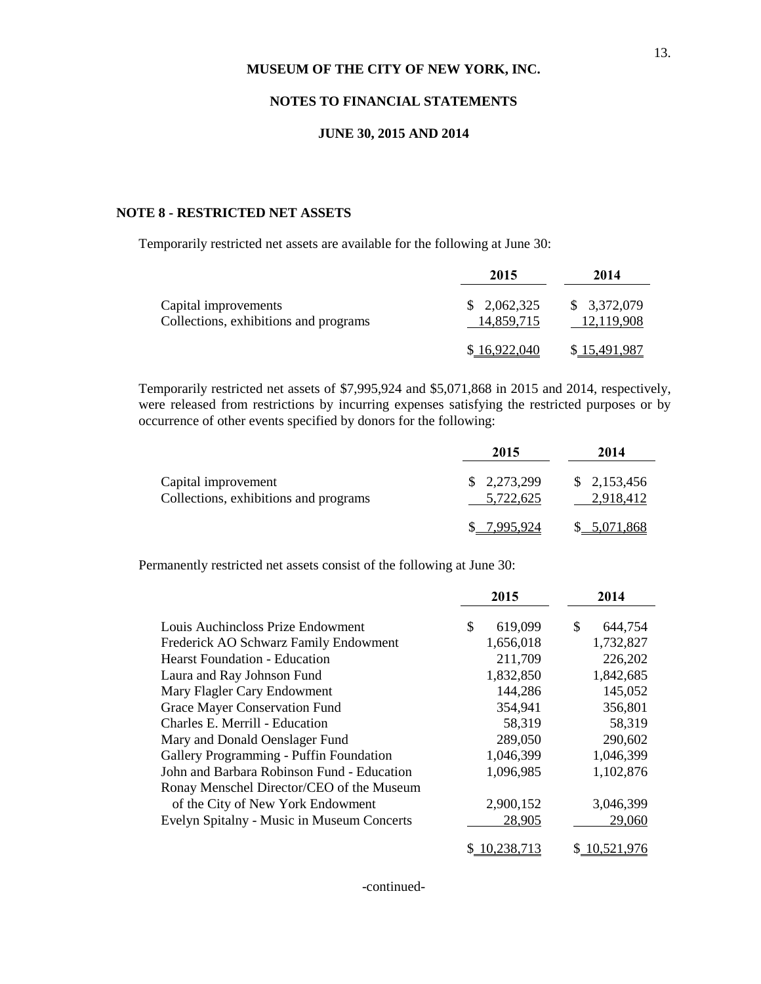#### **NOTES TO FINANCIAL STATEMENTS**

#### **JUNE 30, 2015 AND 2014**

#### **NOTE 8 - RESTRICTED NET ASSETS**

Temporarily restricted net assets are available for the following at June 30:

|                                                               | 2015                      | 2014                      |
|---------------------------------------------------------------|---------------------------|---------------------------|
| Capital improvements<br>Collections, exhibitions and programs | \$2,062,325<br>14,859,715 | \$3,372,079<br>12,119,908 |
|                                                               | \$16,922,040              | \$15,491,987              |

Temporarily restricted net assets of \$7,995,924 and \$5,071,868 in 2015 and 2014, respectively, were released from restrictions by incurring expenses satisfying the restricted purposes or by occurrence of other events specified by donors for the following:

|                                                              | 2015                     | 2014                     |
|--------------------------------------------------------------|--------------------------|--------------------------|
| Capital improvement<br>Collections, exhibitions and programs | \$2,273,299<br>5,722,625 | \$2,153,456<br>2.918.412 |
|                                                              | \$7995924                | \$ 5,071,868             |

Permanently restricted net assets consist of the following at June 30:

|                                            | 2015          | 2014          |
|--------------------------------------------|---------------|---------------|
| Louis Auchincloss Prize Endowment          | \$<br>619,099 | \$<br>644,754 |
| Frederick AO Schwarz Family Endowment      | 1,656,018     | 1,732,827     |
| <b>Hearst Foundation - Education</b>       | 211,709       | 226,202       |
| Laura and Ray Johnson Fund                 | 1,832,850     | 1,842,685     |
| Mary Flagler Cary Endowment                | 144,286       | 145,052       |
| Grace Mayer Conservation Fund              | 354,941       | 356,801       |
| Charles E. Merrill - Education             | 58,319        | 58,319        |
| Mary and Donald Oenslager Fund             | 289,050       | 290,602       |
| Gallery Programming - Puffin Foundation    | 1,046,399     | 1,046,399     |
| John and Barbara Robinson Fund - Education | 1,096,985     | 1,102,876     |
| Ronay Menschel Director/CEO of the Museum  |               |               |
| of the City of New York Endowment          | 2,900,152     | 3,046,399     |
| Evelyn Spitalny - Music in Museum Concerts | 28,905        | 29,060        |
|                                            | 10,238,713    | 10,521,976    |

-continued-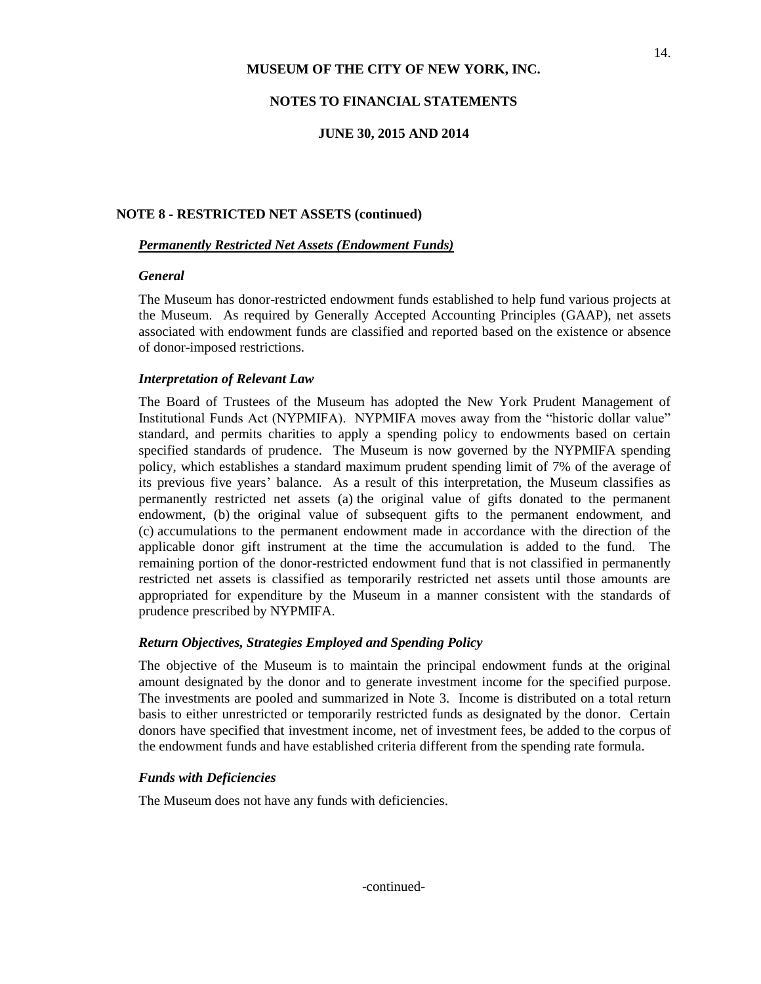#### **NOTES TO FINANCIAL STATEMENTS**

#### **JUNE 30, 2015 AND 2014**

#### **NOTE 8 - RESTRICTED NET ASSETS (continued)**

#### *Permanently Restricted Net Assets (Endowment Funds)*

#### *General*

The Museum has donor-restricted endowment funds established to help fund various projects at the Museum. As required by Generally Accepted Accounting Principles (GAAP), net assets associated with endowment funds are classified and reported based on the existence or absence of donor-imposed restrictions.

#### *Interpretation of Relevant Law*

The Board of Trustees of the Museum has adopted the New York Prudent Management of Institutional Funds Act (NYPMIFA). NYPMIFA moves away from the "historic dollar value" standard, and permits charities to apply a spending policy to endowments based on certain specified standards of prudence. The Museum is now governed by the NYPMIFA spending policy, which establishes a standard maximum prudent spending limit of 7% of the average of its previous five years' balance. As a result of this interpretation, the Museum classifies as permanently restricted net assets (a) the original value of gifts donated to the permanent endowment, (b) the original value of subsequent gifts to the permanent endowment, and (c) accumulations to the permanent endowment made in accordance with the direction of the applicable donor gift instrument at the time the accumulation is added to the fund. The remaining portion of the donor-restricted endowment fund that is not classified in permanently restricted net assets is classified as temporarily restricted net assets until those amounts are appropriated for expenditure by the Museum in a manner consistent with the standards of prudence prescribed by NYPMIFA.

#### *Return Objectives, Strategies Employed and Spending Policy*

The objective of the Museum is to maintain the principal endowment funds at the original amount designated by the donor and to generate investment income for the specified purpose. The investments are pooled and summarized in Note 3. Income is distributed on a total return basis to either unrestricted or temporarily restricted funds as designated by the donor. Certain donors have specified that investment income, net of investment fees, be added to the corpus of the endowment funds and have established criteria different from the spending rate formula.

#### *Funds with Deficiencies*

The Museum does not have any funds with deficiencies.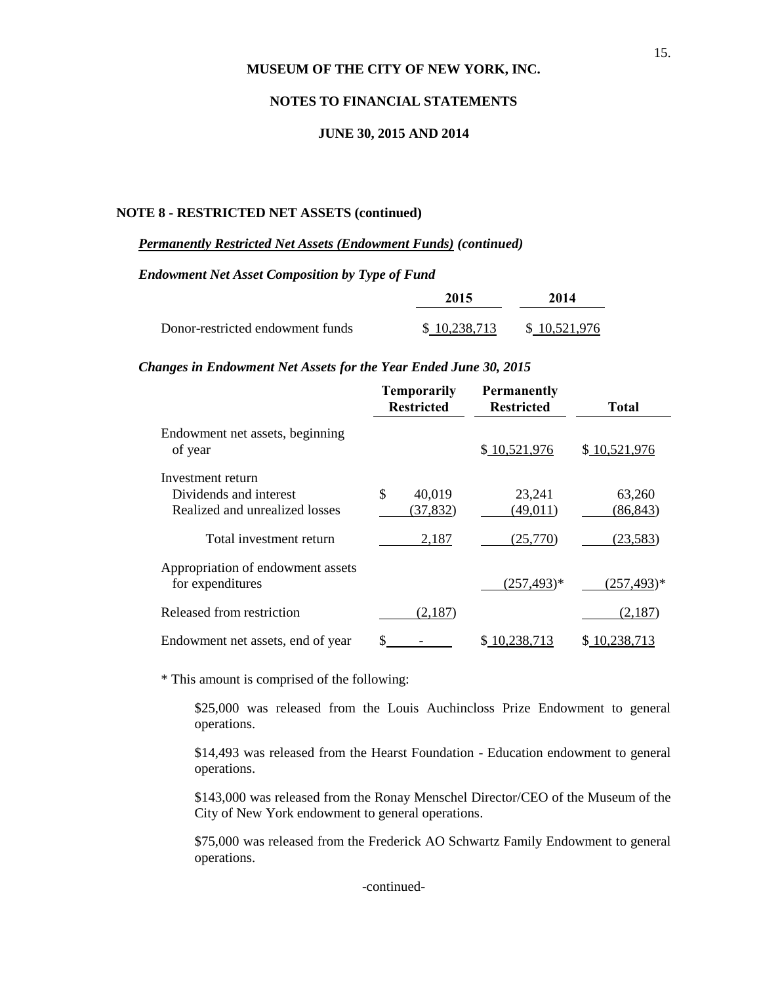#### **NOTES TO FINANCIAL STATEMENTS**

#### **JUNE 30, 2015 AND 2014**

#### **NOTE 8 - RESTRICTED NET ASSETS (continued)**

#### *Permanently Restricted Net Assets (Endowment Funds) (continued)*

*Endowment Net Asset Composition by Type of Fund*

|                                  | 2015         | 2014         |
|----------------------------------|--------------|--------------|
| Donor-restricted endowment funds | \$10.238.713 | \$10,521,976 |

#### *Changes in Endowment Net Assets for the Year Ended June 30, 2015*

|                                                       | <b>Temporarily</b><br><b>Restricted</b> | <b>Permanently</b><br><b>Restricted</b> | Total          |
|-------------------------------------------------------|-----------------------------------------|-----------------------------------------|----------------|
| Endowment net assets, beginning<br>of year            |                                         | \$10,521,976                            | \$10,521,976   |
| Investment return                                     |                                         |                                         |                |
| Dividends and interest                                | \$<br>40,019                            | 23,241                                  | 63,260         |
| Realized and unrealized losses                        | (37, 832)                               | (49, 011)                               | (86, 843)      |
| Total investment return                               | 2,187                                   | (25,770)                                | (23, 583)      |
| Appropriation of endowment assets<br>for expenditures |                                         | $(257, 493)^*$                          | $(257, 493)^*$ |
| Released from restriction                             | (2,187)                                 |                                         | (2,187)        |
| Endowment net assets, end of year                     |                                         | 10.238.713                              | 0.238.713      |

\* This amount is comprised of the following:

\$25,000 was released from the Louis Auchincloss Prize Endowment to general operations.

\$14,493 was released from the Hearst Foundation - Education endowment to general operations.

\$143,000 was released from the Ronay Menschel Director/CEO of the Museum of the City of New York endowment to general operations.

\$75,000 was released from the Frederick AO Schwartz Family Endowment to general operations.

-continued-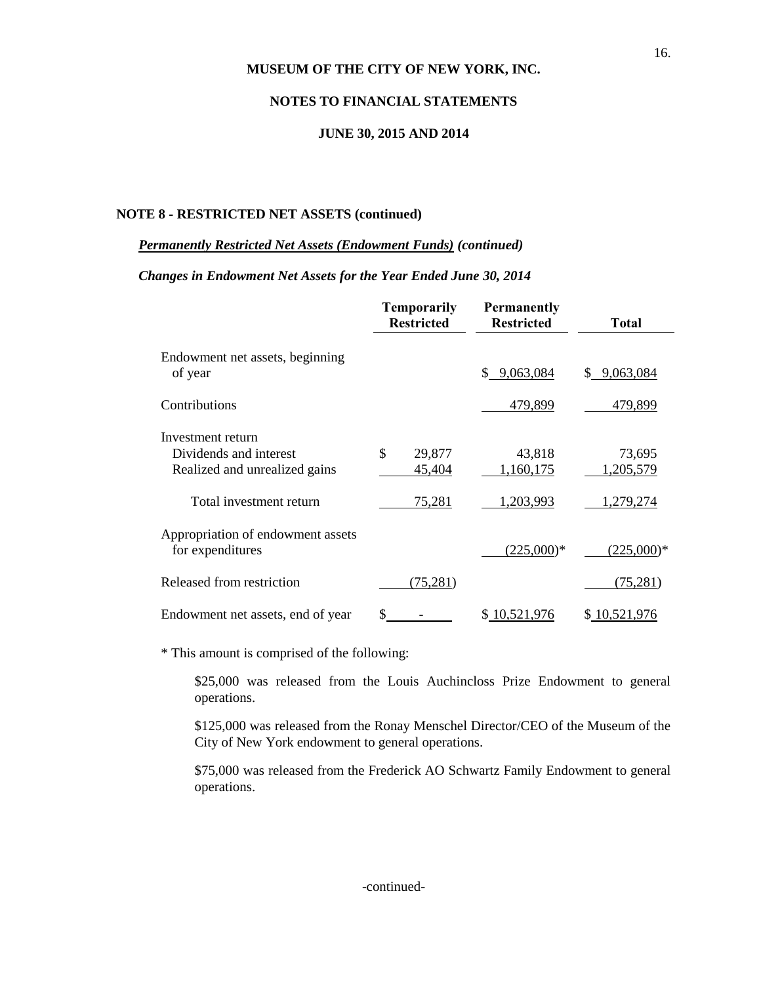### **NOTES TO FINANCIAL STATEMENTS**

#### **JUNE 30, 2015 AND 2014**

#### **NOTE 8 - RESTRICTED NET ASSETS (continued)**

#### *Permanently Restricted Net Assets (Endowment Funds) (continued)*

#### *Changes in Endowment Net Assets for the Year Ended June 30, 2014*

|                                                          | <b>Temporarily</b><br><b>Restricted</b> | <b>Permanently</b><br><b>Restricted</b> | <b>Total</b>              |
|----------------------------------------------------------|-----------------------------------------|-----------------------------------------|---------------------------|
| Endowment net assets, beginning<br>of year               |                                         | 9,063,084<br>\$.                        | 9,063,084<br>S.           |
| Contributions                                            |                                         | 479,899                                 | 479,899                   |
| Investment return<br>Dividends and interest              | \$<br>29,877                            | 43,818                                  | 73,695                    |
| Realized and unrealized gains<br>Total investment return | 45,404<br>75,281                        | 1,160,175<br>1,203,993                  | 1,205,579<br>1,279,274    |
| Appropriation of endowment assets                        |                                         |                                         |                           |
| for expenditures<br>Released from restriction            | (75, 281)                               | $(225,000)*$                            | $(225,000)*$<br>(75, 281) |
| Endowment net assets, end of year                        |                                         | \$10,521,976                            | \$10,521,976              |

\* This amount is comprised of the following:

\$25,000 was released from the Louis Auchincloss Prize Endowment to general operations.

\$125,000 was released from the Ronay Menschel Director/CEO of the Museum of the City of New York endowment to general operations.

\$75,000 was released from the Frederick AO Schwartz Family Endowment to general operations.